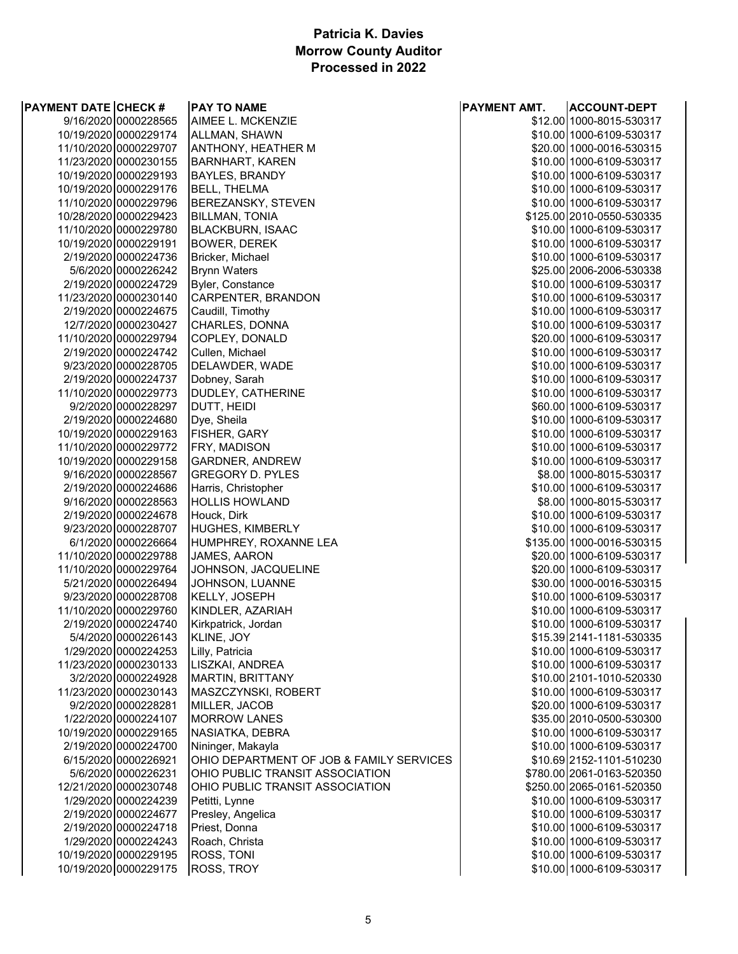### **Patricia K. Davies Morrow County Auditor Processed in 2022**

| <b>PAYMENT DATE CHECK #</b> |                       | <b>PAY TO NAME</b>                       | PAYMENT AMT. | <b>ACCOUNT-DEPT</b>                                  |
|-----------------------------|-----------------------|------------------------------------------|--------------|------------------------------------------------------|
|                             | 9/16/2020 0000228565  | AIMEE L. MCKENZIE                        |              | \$12.00 1000-8015-530317                             |
|                             | 10/19/2020 0000229174 | ALLMAN, SHAWN                            |              | \$10.00 1000-6109-530317                             |
|                             | 11/10/2020 0000229707 | ANTHONY, HEATHER M                       |              | \$20.00 1000-0016-530315                             |
|                             | 11/23/2020 0000230155 | <b>BARNHART, KAREN</b>                   |              | \$10.00 1000-6109-530317                             |
|                             | 10/19/2020 0000229193 | <b>BAYLES, BRANDY</b>                    |              | \$10.00 1000-6109-530317                             |
|                             | 10/19/2020 0000229176 | <b>BELL, THELMA</b>                      |              | \$10.00 1000-6109-530317                             |
|                             | 11/10/2020 0000229796 | BEREZANSKY, STEVEN                       |              | \$10.00 1000-6109-530317                             |
|                             | 10/28/2020 0000229423 | <b>BILLMAN, TONIA</b>                    |              | \$125.00 2010-0550-530335                            |
|                             | 11/10/2020 0000229780 | <b>BLACKBURN, ISAAC</b>                  |              | \$10.00 1000-6109-530317                             |
|                             | 10/19/2020 0000229191 | <b>BOWER, DEREK</b>                      |              | \$10.00 1000-6109-530317                             |
|                             | 2/19/2020 0000224736  | Bricker, Michael                         |              | \$10.00 1000-6109-530317                             |
|                             | 5/6/2020 0000226242   | <b>Brynn Waters</b>                      |              | \$25.00 2006-2006-530338                             |
|                             | 2/19/2020 0000224729  | Byler, Constance                         |              | \$10.00 1000-6109-530317                             |
|                             | 11/23/2020 0000230140 | CARPENTER, BRANDON                       |              | \$10.00 1000-6109-530317                             |
|                             | 2/19/2020 0000224675  | Caudill, Timothy                         |              | \$10.00 1000-6109-530317                             |
|                             | 12/7/2020 0000230427  | CHARLES, DONNA                           |              | \$10.00 1000-6109-530317                             |
|                             | 11/10/2020 0000229794 | COPLEY, DONALD                           |              | \$20.00 1000-6109-530317                             |
|                             | 2/19/2020 0000224742  | Cullen, Michael                          |              | \$10.00 1000-6109-530317                             |
|                             | 9/23/2020 0000228705  | DELAWDER, WADE                           |              | \$10.00 1000-6109-530317                             |
|                             | 2/19/2020 0000224737  | Dobney, Sarah                            |              | \$10.00 1000-6109-530317                             |
|                             | 11/10/2020 0000229773 | DUDLEY, CATHERINE                        |              | \$10.00 1000-6109-530317                             |
|                             | 9/2/2020 0000228297   | DUTT, HEIDI                              |              | \$60.00 1000-6109-530317                             |
|                             | 2/19/2020 0000224680  | Dye, Sheila                              |              | \$10.00 1000-6109-530317                             |
|                             | 10/19/2020 0000229163 | FISHER, GARY                             |              | \$10.00 1000-6109-530317                             |
|                             | 11/10/2020 0000229772 | FRY, MADISON                             |              | \$10.00 1000-6109-530317                             |
|                             | 10/19/2020 0000229158 | GARDNER, ANDREW                          |              | \$10.00 1000-6109-530317                             |
|                             | 9/16/2020 0000228567  | <b>GREGORY D. PYLES</b>                  |              | \$8.00 1000-8015-530317                              |
|                             | 2/19/2020 0000224686  | Harris, Christopher                      |              | \$10.00 1000-6109-530317                             |
|                             | 9/16/2020 0000228563  | <b>HOLLIS HOWLAND</b>                    |              | \$8.00 1000-8015-530317                              |
|                             | 2/19/2020 0000224678  | Houck, Dirk                              |              | \$10.00 1000-6109-530317                             |
|                             | 9/23/2020 0000228707  | HUGHES, KIMBERLY                         |              | \$10.00 1000-6109-530317                             |
|                             | 6/1/2020 0000226664   |                                          |              | \$135.00 1000-0016-530315                            |
|                             | 11/10/2020 0000229788 | HUMPHREY, ROXANNE LEA<br>JAMES, AARON    |              |                                                      |
|                             | 11/10/2020 0000229764 | JOHNSON, JACQUELINE                      |              | \$20.00 1000-6109-530317<br>\$20.00 1000-6109-530317 |
|                             | 5/21/2020 0000226494  | JOHNSON, LUANNE                          |              | \$30.00 1000-0016-530315                             |
|                             | 9/23/2020 0000228708  | KELLY, JOSEPH                            |              | \$10.00 1000-6109-530317                             |
|                             | 11/10/2020 0000229760 | KINDLER, AZARIAH                         |              | \$10.00 1000-6109-530317                             |
|                             | 2/19/2020 0000224740  | Kirkpatrick, Jordan                      |              | \$10.00 1000-6109-530317                             |
|                             | 5/4/2020 0000226143   | KLINE, JOY                               |              | \$15.39 2141-1181-530335                             |
|                             | 1/29/2020 0000224253  | Lilly, Patricia                          |              | \$10.00 1000-6109-530317                             |
|                             | 11/23/2020 0000230133 | LISZKAI, ANDREA                          |              | \$10.00 1000-6109-530317                             |
|                             | 3/2/2020 0000224928   | MARTIN, BRITTANY                         |              | \$10.00 2101-1010-520330                             |
|                             | 11/23/2020 0000230143 | MASZCZYNSKI, ROBERT                      |              | \$10.00 1000-6109-530317                             |
|                             | 9/2/2020 0000228281   | MILLER, JACOB                            |              | \$20.00 1000-6109-530317                             |
|                             | 1/22/2020 0000224107  | <b>MORROW LANES</b>                      |              | \$35.00 2010-0500-530300                             |
|                             | 10/19/2020 0000229165 | NASIATKA, DEBRA                          |              | \$10.00 1000-6109-530317                             |
|                             | 2/19/2020 0000224700  | Nininger, Makayla                        |              | \$10.00 1000-6109-530317                             |
|                             | 6/15/2020 0000226921  | OHIO DEPARTMENT OF JOB & FAMILY SERVICES |              | \$10.69 2152-1101-510230                             |
|                             | 5/6/2020 0000226231   | OHIO PUBLIC TRANSIT ASSOCIATION          |              | \$780.00 2061-0163-520350                            |
|                             | 12/21/2020 0000230748 | OHIO PUBLIC TRANSIT ASSOCIATION          |              | \$250.00 2065-0161-520350                            |
|                             | 1/29/2020 0000224239  | Petitti, Lynne                           |              | \$10.00 1000-6109-530317                             |
|                             | 2/19/2020 0000224677  | Presley, Angelica                        |              | \$10.00 1000-6109-530317                             |
|                             | 2/19/2020 0000224718  | Priest, Donna                            |              | \$10.00 1000-6109-530317                             |
|                             | 1/29/2020 0000224243  | Roach, Christa                           |              |                                                      |
|                             | 10/19/2020 0000229195 | ROSS, TONI                               |              | \$10.00 1000-6109-530317                             |
|                             |                       |                                          |              | \$10.00 1000-6109-530317                             |
|                             | 10/19/2020 0000229175 | ROSS, TROY                               |              | \$10.00 1000-6109-530317                             |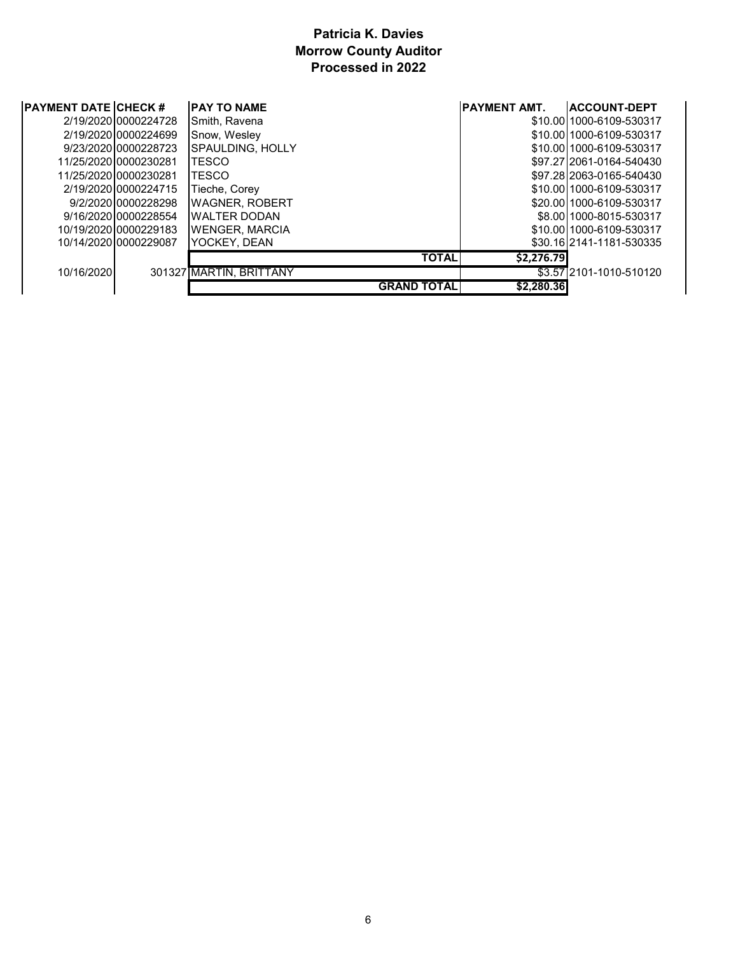### **Patricia K. Davies Morrow County Auditor Processed in 2022**

| <b>PAYMENT DATE CHECK #</b> | <b>PAY TO NAME</b>      |                    | <b>IPAYMENT AMT.</b> | <b>ACCOUNT-DEPT</b>      |
|-----------------------------|-------------------------|--------------------|----------------------|--------------------------|
| 2/19/202010000224728        | Smith, Ravena           |                    |                      | \$10.00 1000-6109-530317 |
| 2/19/202010000224699        | Snow, Wesley            |                    |                      | \$10.0011000-6109-530317 |
| 9/23/202010000228723        | <b>SPAULDING, HOLLY</b> |                    |                      | \$10.0011000-6109-530317 |
| 11/25/202010000230281       | <b>TESCO</b>            |                    |                      | \$97.2712061-0164-540430 |
| 11/25/202010000230281       | TESCO                   |                    |                      | \$97.2812063-0165-540430 |
| 2/19/202010000224715        | Tieche, Corey           |                    |                      | \$10.00 1000-6109-530317 |
| 9/2/202010000228298         | <b>WAGNER, ROBERT</b>   |                    |                      | \$20.0011000-6109-530317 |
| 9/16/202010000228554        | <b>WALTER DODAN</b>     |                    |                      | \$8.00 1000-8015-530317  |
| 10/19/202010000229183       | <b>WENGER, MARCIA</b>   |                    |                      | \$10.0011000-6109-530317 |
| 10/14/2020 0000229087       | YOCKEY, DEAN            |                    |                      | \$30.1612141-1181-530335 |
|                             |                         | <b>TOTAL</b>       | \$2.276.79           |                          |
| 10/16/2020                  | 301327 MARTIN, BRITTANY |                    |                      | \$3.57 2101-1010-510120  |
|                             |                         | <b>GRAND TOTAL</b> | \$2,280,36           |                          |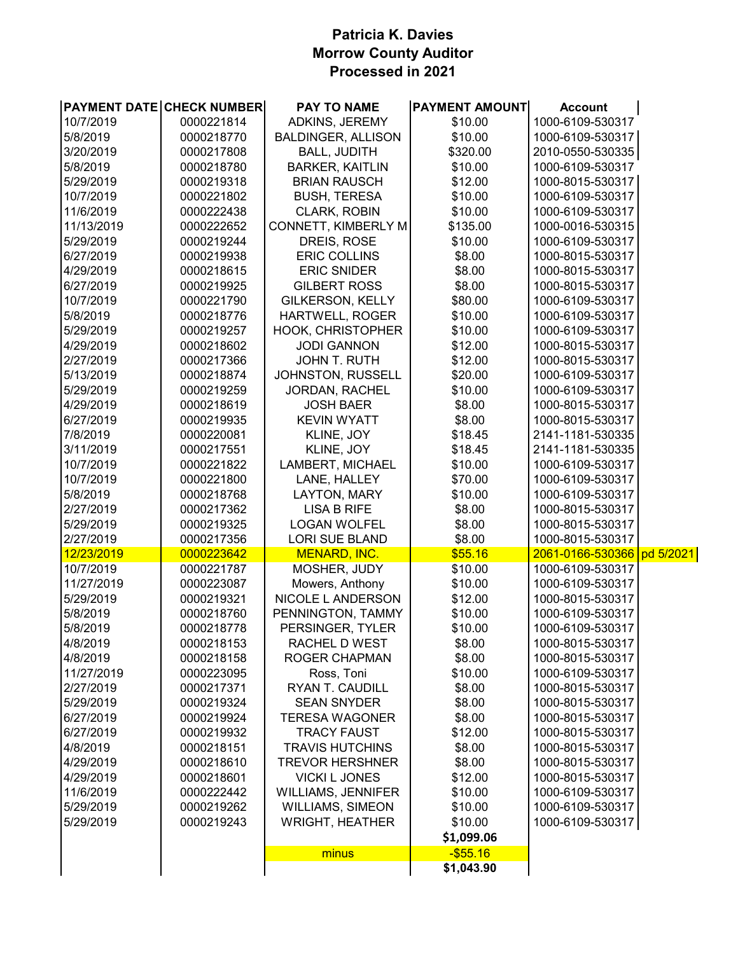### **Patricia K. Davies Morrow County Auditor Processed in 2021**

| 10/7/2019<br>0000221814<br>ADKINS, JEREMY<br>\$10.00<br>1000-6109-530317<br>5/8/2019<br>0000218770<br><b>BALDINGER, ALLISON</b><br>\$10.00<br>1000-6109-530317<br>2010-0550-530335<br>3/20/2019<br>0000217808<br><b>BALL, JUDITH</b><br>\$320.00<br>5/8/2019<br>\$10.00<br>0000218780<br><b>BARKER, KAITLIN</b><br>1000-6109-530317<br>5/29/2019<br>\$12.00<br>1000-8015-530317<br>0000219318<br><b>BRIAN RAUSCH</b><br>10/7/2019<br>\$10.00<br>0000221802<br><b>BUSH, TERESA</b><br>1000-6109-530317<br>11/6/2019<br>\$10.00<br>0000222438<br><b>CLARK, ROBIN</b><br>1000-6109-530317<br>CONNETT, KIMBERLY M<br>\$135.00<br>11/13/2019<br>0000222652<br>1000-0016-530315<br>\$10.00<br>5/29/2019<br>DREIS, ROSE<br>0000219244<br>1000-6109-530317<br>6/27/2019<br><b>ERIC COLLINS</b><br>\$8.00<br>0000219938<br>1000-8015-530317<br>4/29/2019<br><b>ERIC SNIDER</b><br>\$8.00<br>0000218615<br>1000-8015-530317<br>6/27/2019<br><b>GILBERT ROSS</b><br>\$8.00<br>0000219925<br>1000-8015-530317<br>10/7/2019<br><b>GILKERSON, KELLY</b><br>\$80.00<br>0000221790<br>1000-6109-530317<br>5/8/2019<br>HARTWELL, ROGER<br>\$10.00<br>0000218776<br>1000-6109-530317<br>\$10.00<br>5/29/2019<br>0000219257<br><b>HOOK, CHRISTOPHER</b><br>1000-6109-530317<br>\$12.00<br>4/29/2019<br>0000218602<br><b>JODI GANNON</b><br>1000-8015-530317<br>\$12.00<br>2/27/2019<br>0000217366<br>JOHN T. RUTH<br>1000-8015-530317<br>\$20.00<br>5/13/2019<br>0000218874<br>JOHNSTON, RUSSELL<br>1000-6109-530317<br>\$10.00<br>5/29/2019<br>0000219259<br><b>JORDAN, RACHEL</b><br>1000-6109-530317<br>\$8.00<br>4/29/2019<br>0000218619<br><b>JOSH BAER</b><br>1000-8015-530317<br>6/27/2019<br>\$8.00<br>0000219935<br><b>KEVIN WYATT</b><br>1000-8015-530317<br>7/8/2019<br>\$18.45<br>2141-1181-530335<br>0000220081<br>KLINE, JOY<br>3/11/2019<br>\$18.45<br>2141-1181-530335<br>0000217551<br>KLINE, JOY<br>LAMBERT, MICHAEL<br>\$10.00<br>10/7/2019<br>0000221822<br>1000-6109-530317<br>0000221800<br>\$70.00<br>10/7/2019<br>LANE, HALLEY<br>1000-6109-530317<br>5/8/2019<br>\$10.00<br>0000218768<br>LAYTON, MARY<br>1000-6109-530317<br>\$8.00<br>2/27/2019<br>0000217362<br><b>LISA B RIFE</b><br>1000-8015-530317<br>\$8.00<br>5/29/2019<br>0000219325<br><b>LOGAN WOLFEL</b><br>1000-8015-530317<br>2/27/2019<br><b>LORI SUE BLAND</b><br>\$8.00<br>0000217356<br>1000-8015-530317<br><b>MENARD, INC.</b><br>\$55.16<br>12/23/2019<br>0000223642<br>2061-0166-530366<br>10/7/2019<br>MOSHER, JUDY<br>\$10.00<br>0000221787<br>1000-6109-530317<br>11/27/2019<br>\$10.00<br>0000223087<br>Mowers, Anthony<br>1000-6109-530317<br>5/29/2019<br>NICOLE L ANDERSON<br>\$12.00<br>0000219321<br>1000-8015-530317<br>5/8/2019<br>PENNINGTON, TAMMY<br>0000218760<br>\$10.00<br>1000-6109-530317<br>5/8/2019<br>0000218778<br>PERSINGER, TYLER<br>\$10.00<br>1000-6109-530317<br>0000218153<br>RACHEL D WEST<br>\$8.00<br>1000-8015-530317<br><b>ROGER CHAPMAN</b><br>\$8.00<br>1000-8015-530317<br>0000218158<br>11/27/2019<br>\$10.00<br>1000-6109-530317<br>0000223095<br>Ross, Toni<br>RYAN T. CAUDILL<br>\$8.00<br>1000-8015-530317<br>0000217371<br><b>SEAN SNYDER</b><br>\$8.00<br>0000219324<br>1000-8015-530317<br>\$8.00<br>0000219924<br>1000-8015-530317<br><b>TERESA WAGONER</b><br>0000219932<br><b>TRACY FAUST</b><br>\$12.00<br>1000-8015-530317<br>0000218151<br><b>TRAVIS HUTCHINS</b><br>\$8.00<br>1000-8015-530317<br>\$8.00<br>0000218610<br><b>TREVOR HERSHNER</b><br>1000-8015-530317<br>0000218601<br><b>VICKI L JONES</b><br>\$12.00<br>1000-8015-530317<br>11/6/2019<br>0000222442<br><b>WILLIAMS, JENNIFER</b><br>\$10.00<br>1000-6109-530317<br><b>WILLIAMS, SIMEON</b><br>\$10.00<br>1000-6109-530317<br>0000219262<br><b>WRIGHT, HEATHER</b><br>\$10.00<br>1000-6109-530317<br>0000219243<br>\$1,099.06<br>$-$ \$55.16<br>minus<br>\$1,043.90 |           | <b>PAYMENT DATE CHECK NUMBER</b> | <b>PAY TO NAME</b> | <b>PAYMENT AMOUNT</b> | <b>Account</b> |           |
|---------------------------------------------------------------------------------------------------------------------------------------------------------------------------------------------------------------------------------------------------------------------------------------------------------------------------------------------------------------------------------------------------------------------------------------------------------------------------------------------------------------------------------------------------------------------------------------------------------------------------------------------------------------------------------------------------------------------------------------------------------------------------------------------------------------------------------------------------------------------------------------------------------------------------------------------------------------------------------------------------------------------------------------------------------------------------------------------------------------------------------------------------------------------------------------------------------------------------------------------------------------------------------------------------------------------------------------------------------------------------------------------------------------------------------------------------------------------------------------------------------------------------------------------------------------------------------------------------------------------------------------------------------------------------------------------------------------------------------------------------------------------------------------------------------------------------------------------------------------------------------------------------------------------------------------------------------------------------------------------------------------------------------------------------------------------------------------------------------------------------------------------------------------------------------------------------------------------------------------------------------------------------------------------------------------------------------------------------------------------------------------------------------------------------------------------------------------------------------------------------------------------------------------------------------------------------------------------------------------------------------------------------------------------------------------------------------------------------------------------------------------------------------------------------------------------------------------------------------------------------------------------------------------------------------------------------------------------------------------------------------------------------------------------------------------------------------------------------------------------------------------------------------------------------------------------------------------------------------------------------------------------------------------------------------------------------------------------------------------------------------------------------------------------------------------------------------------------------------------------------------------------------------------------------------------------------------------------------------------------------------------------------------------------------------------------------------------------------------------------------------------------------------------------------------------------------------------------------------------------|-----------|----------------------------------|--------------------|-----------------------|----------------|-----------|
|                                                                                                                                                                                                                                                                                                                                                                                                                                                                                                                                                                                                                                                                                                                                                                                                                                                                                                                                                                                                                                                                                                                                                                                                                                                                                                                                                                                                                                                                                                                                                                                                                                                                                                                                                                                                                                                                                                                                                                                                                                                                                                                                                                                                                                                                                                                                                                                                                                                                                                                                                                                                                                                                                                                                                                                                                                                                                                                                                                                                                                                                                                                                                                                                                                                                                                                                                                                                                                                                                                                                                                                                                                                                                                                                                                                                                                                                     |           |                                  |                    |                       |                |           |
|                                                                                                                                                                                                                                                                                                                                                                                                                                                                                                                                                                                                                                                                                                                                                                                                                                                                                                                                                                                                                                                                                                                                                                                                                                                                                                                                                                                                                                                                                                                                                                                                                                                                                                                                                                                                                                                                                                                                                                                                                                                                                                                                                                                                                                                                                                                                                                                                                                                                                                                                                                                                                                                                                                                                                                                                                                                                                                                                                                                                                                                                                                                                                                                                                                                                                                                                                                                                                                                                                                                                                                                                                                                                                                                                                                                                                                                                     |           |                                  |                    |                       |                |           |
|                                                                                                                                                                                                                                                                                                                                                                                                                                                                                                                                                                                                                                                                                                                                                                                                                                                                                                                                                                                                                                                                                                                                                                                                                                                                                                                                                                                                                                                                                                                                                                                                                                                                                                                                                                                                                                                                                                                                                                                                                                                                                                                                                                                                                                                                                                                                                                                                                                                                                                                                                                                                                                                                                                                                                                                                                                                                                                                                                                                                                                                                                                                                                                                                                                                                                                                                                                                                                                                                                                                                                                                                                                                                                                                                                                                                                                                                     |           |                                  |                    |                       |                |           |
|                                                                                                                                                                                                                                                                                                                                                                                                                                                                                                                                                                                                                                                                                                                                                                                                                                                                                                                                                                                                                                                                                                                                                                                                                                                                                                                                                                                                                                                                                                                                                                                                                                                                                                                                                                                                                                                                                                                                                                                                                                                                                                                                                                                                                                                                                                                                                                                                                                                                                                                                                                                                                                                                                                                                                                                                                                                                                                                                                                                                                                                                                                                                                                                                                                                                                                                                                                                                                                                                                                                                                                                                                                                                                                                                                                                                                                                                     |           |                                  |                    |                       |                |           |
|                                                                                                                                                                                                                                                                                                                                                                                                                                                                                                                                                                                                                                                                                                                                                                                                                                                                                                                                                                                                                                                                                                                                                                                                                                                                                                                                                                                                                                                                                                                                                                                                                                                                                                                                                                                                                                                                                                                                                                                                                                                                                                                                                                                                                                                                                                                                                                                                                                                                                                                                                                                                                                                                                                                                                                                                                                                                                                                                                                                                                                                                                                                                                                                                                                                                                                                                                                                                                                                                                                                                                                                                                                                                                                                                                                                                                                                                     |           |                                  |                    |                       |                |           |
|                                                                                                                                                                                                                                                                                                                                                                                                                                                                                                                                                                                                                                                                                                                                                                                                                                                                                                                                                                                                                                                                                                                                                                                                                                                                                                                                                                                                                                                                                                                                                                                                                                                                                                                                                                                                                                                                                                                                                                                                                                                                                                                                                                                                                                                                                                                                                                                                                                                                                                                                                                                                                                                                                                                                                                                                                                                                                                                                                                                                                                                                                                                                                                                                                                                                                                                                                                                                                                                                                                                                                                                                                                                                                                                                                                                                                                                                     |           |                                  |                    |                       |                |           |
|                                                                                                                                                                                                                                                                                                                                                                                                                                                                                                                                                                                                                                                                                                                                                                                                                                                                                                                                                                                                                                                                                                                                                                                                                                                                                                                                                                                                                                                                                                                                                                                                                                                                                                                                                                                                                                                                                                                                                                                                                                                                                                                                                                                                                                                                                                                                                                                                                                                                                                                                                                                                                                                                                                                                                                                                                                                                                                                                                                                                                                                                                                                                                                                                                                                                                                                                                                                                                                                                                                                                                                                                                                                                                                                                                                                                                                                                     |           |                                  |                    |                       |                |           |
|                                                                                                                                                                                                                                                                                                                                                                                                                                                                                                                                                                                                                                                                                                                                                                                                                                                                                                                                                                                                                                                                                                                                                                                                                                                                                                                                                                                                                                                                                                                                                                                                                                                                                                                                                                                                                                                                                                                                                                                                                                                                                                                                                                                                                                                                                                                                                                                                                                                                                                                                                                                                                                                                                                                                                                                                                                                                                                                                                                                                                                                                                                                                                                                                                                                                                                                                                                                                                                                                                                                                                                                                                                                                                                                                                                                                                                                                     |           |                                  |                    |                       |                |           |
|                                                                                                                                                                                                                                                                                                                                                                                                                                                                                                                                                                                                                                                                                                                                                                                                                                                                                                                                                                                                                                                                                                                                                                                                                                                                                                                                                                                                                                                                                                                                                                                                                                                                                                                                                                                                                                                                                                                                                                                                                                                                                                                                                                                                                                                                                                                                                                                                                                                                                                                                                                                                                                                                                                                                                                                                                                                                                                                                                                                                                                                                                                                                                                                                                                                                                                                                                                                                                                                                                                                                                                                                                                                                                                                                                                                                                                                                     |           |                                  |                    |                       |                |           |
|                                                                                                                                                                                                                                                                                                                                                                                                                                                                                                                                                                                                                                                                                                                                                                                                                                                                                                                                                                                                                                                                                                                                                                                                                                                                                                                                                                                                                                                                                                                                                                                                                                                                                                                                                                                                                                                                                                                                                                                                                                                                                                                                                                                                                                                                                                                                                                                                                                                                                                                                                                                                                                                                                                                                                                                                                                                                                                                                                                                                                                                                                                                                                                                                                                                                                                                                                                                                                                                                                                                                                                                                                                                                                                                                                                                                                                                                     |           |                                  |                    |                       |                |           |
|                                                                                                                                                                                                                                                                                                                                                                                                                                                                                                                                                                                                                                                                                                                                                                                                                                                                                                                                                                                                                                                                                                                                                                                                                                                                                                                                                                                                                                                                                                                                                                                                                                                                                                                                                                                                                                                                                                                                                                                                                                                                                                                                                                                                                                                                                                                                                                                                                                                                                                                                                                                                                                                                                                                                                                                                                                                                                                                                                                                                                                                                                                                                                                                                                                                                                                                                                                                                                                                                                                                                                                                                                                                                                                                                                                                                                                                                     |           |                                  |                    |                       |                |           |
|                                                                                                                                                                                                                                                                                                                                                                                                                                                                                                                                                                                                                                                                                                                                                                                                                                                                                                                                                                                                                                                                                                                                                                                                                                                                                                                                                                                                                                                                                                                                                                                                                                                                                                                                                                                                                                                                                                                                                                                                                                                                                                                                                                                                                                                                                                                                                                                                                                                                                                                                                                                                                                                                                                                                                                                                                                                                                                                                                                                                                                                                                                                                                                                                                                                                                                                                                                                                                                                                                                                                                                                                                                                                                                                                                                                                                                                                     |           |                                  |                    |                       |                |           |
|                                                                                                                                                                                                                                                                                                                                                                                                                                                                                                                                                                                                                                                                                                                                                                                                                                                                                                                                                                                                                                                                                                                                                                                                                                                                                                                                                                                                                                                                                                                                                                                                                                                                                                                                                                                                                                                                                                                                                                                                                                                                                                                                                                                                                                                                                                                                                                                                                                                                                                                                                                                                                                                                                                                                                                                                                                                                                                                                                                                                                                                                                                                                                                                                                                                                                                                                                                                                                                                                                                                                                                                                                                                                                                                                                                                                                                                                     |           |                                  |                    |                       |                |           |
|                                                                                                                                                                                                                                                                                                                                                                                                                                                                                                                                                                                                                                                                                                                                                                                                                                                                                                                                                                                                                                                                                                                                                                                                                                                                                                                                                                                                                                                                                                                                                                                                                                                                                                                                                                                                                                                                                                                                                                                                                                                                                                                                                                                                                                                                                                                                                                                                                                                                                                                                                                                                                                                                                                                                                                                                                                                                                                                                                                                                                                                                                                                                                                                                                                                                                                                                                                                                                                                                                                                                                                                                                                                                                                                                                                                                                                                                     |           |                                  |                    |                       |                |           |
|                                                                                                                                                                                                                                                                                                                                                                                                                                                                                                                                                                                                                                                                                                                                                                                                                                                                                                                                                                                                                                                                                                                                                                                                                                                                                                                                                                                                                                                                                                                                                                                                                                                                                                                                                                                                                                                                                                                                                                                                                                                                                                                                                                                                                                                                                                                                                                                                                                                                                                                                                                                                                                                                                                                                                                                                                                                                                                                                                                                                                                                                                                                                                                                                                                                                                                                                                                                                                                                                                                                                                                                                                                                                                                                                                                                                                                                                     |           |                                  |                    |                       |                |           |
|                                                                                                                                                                                                                                                                                                                                                                                                                                                                                                                                                                                                                                                                                                                                                                                                                                                                                                                                                                                                                                                                                                                                                                                                                                                                                                                                                                                                                                                                                                                                                                                                                                                                                                                                                                                                                                                                                                                                                                                                                                                                                                                                                                                                                                                                                                                                                                                                                                                                                                                                                                                                                                                                                                                                                                                                                                                                                                                                                                                                                                                                                                                                                                                                                                                                                                                                                                                                                                                                                                                                                                                                                                                                                                                                                                                                                                                                     |           |                                  |                    |                       |                |           |
|                                                                                                                                                                                                                                                                                                                                                                                                                                                                                                                                                                                                                                                                                                                                                                                                                                                                                                                                                                                                                                                                                                                                                                                                                                                                                                                                                                                                                                                                                                                                                                                                                                                                                                                                                                                                                                                                                                                                                                                                                                                                                                                                                                                                                                                                                                                                                                                                                                                                                                                                                                                                                                                                                                                                                                                                                                                                                                                                                                                                                                                                                                                                                                                                                                                                                                                                                                                                                                                                                                                                                                                                                                                                                                                                                                                                                                                                     |           |                                  |                    |                       |                |           |
|                                                                                                                                                                                                                                                                                                                                                                                                                                                                                                                                                                                                                                                                                                                                                                                                                                                                                                                                                                                                                                                                                                                                                                                                                                                                                                                                                                                                                                                                                                                                                                                                                                                                                                                                                                                                                                                                                                                                                                                                                                                                                                                                                                                                                                                                                                                                                                                                                                                                                                                                                                                                                                                                                                                                                                                                                                                                                                                                                                                                                                                                                                                                                                                                                                                                                                                                                                                                                                                                                                                                                                                                                                                                                                                                                                                                                                                                     |           |                                  |                    |                       |                |           |
|                                                                                                                                                                                                                                                                                                                                                                                                                                                                                                                                                                                                                                                                                                                                                                                                                                                                                                                                                                                                                                                                                                                                                                                                                                                                                                                                                                                                                                                                                                                                                                                                                                                                                                                                                                                                                                                                                                                                                                                                                                                                                                                                                                                                                                                                                                                                                                                                                                                                                                                                                                                                                                                                                                                                                                                                                                                                                                                                                                                                                                                                                                                                                                                                                                                                                                                                                                                                                                                                                                                                                                                                                                                                                                                                                                                                                                                                     |           |                                  |                    |                       |                |           |
|                                                                                                                                                                                                                                                                                                                                                                                                                                                                                                                                                                                                                                                                                                                                                                                                                                                                                                                                                                                                                                                                                                                                                                                                                                                                                                                                                                                                                                                                                                                                                                                                                                                                                                                                                                                                                                                                                                                                                                                                                                                                                                                                                                                                                                                                                                                                                                                                                                                                                                                                                                                                                                                                                                                                                                                                                                                                                                                                                                                                                                                                                                                                                                                                                                                                                                                                                                                                                                                                                                                                                                                                                                                                                                                                                                                                                                                                     |           |                                  |                    |                       |                |           |
|                                                                                                                                                                                                                                                                                                                                                                                                                                                                                                                                                                                                                                                                                                                                                                                                                                                                                                                                                                                                                                                                                                                                                                                                                                                                                                                                                                                                                                                                                                                                                                                                                                                                                                                                                                                                                                                                                                                                                                                                                                                                                                                                                                                                                                                                                                                                                                                                                                                                                                                                                                                                                                                                                                                                                                                                                                                                                                                                                                                                                                                                                                                                                                                                                                                                                                                                                                                                                                                                                                                                                                                                                                                                                                                                                                                                                                                                     |           |                                  |                    |                       |                |           |
|                                                                                                                                                                                                                                                                                                                                                                                                                                                                                                                                                                                                                                                                                                                                                                                                                                                                                                                                                                                                                                                                                                                                                                                                                                                                                                                                                                                                                                                                                                                                                                                                                                                                                                                                                                                                                                                                                                                                                                                                                                                                                                                                                                                                                                                                                                                                                                                                                                                                                                                                                                                                                                                                                                                                                                                                                                                                                                                                                                                                                                                                                                                                                                                                                                                                                                                                                                                                                                                                                                                                                                                                                                                                                                                                                                                                                                                                     |           |                                  |                    |                       |                |           |
|                                                                                                                                                                                                                                                                                                                                                                                                                                                                                                                                                                                                                                                                                                                                                                                                                                                                                                                                                                                                                                                                                                                                                                                                                                                                                                                                                                                                                                                                                                                                                                                                                                                                                                                                                                                                                                                                                                                                                                                                                                                                                                                                                                                                                                                                                                                                                                                                                                                                                                                                                                                                                                                                                                                                                                                                                                                                                                                                                                                                                                                                                                                                                                                                                                                                                                                                                                                                                                                                                                                                                                                                                                                                                                                                                                                                                                                                     |           |                                  |                    |                       |                |           |
|                                                                                                                                                                                                                                                                                                                                                                                                                                                                                                                                                                                                                                                                                                                                                                                                                                                                                                                                                                                                                                                                                                                                                                                                                                                                                                                                                                                                                                                                                                                                                                                                                                                                                                                                                                                                                                                                                                                                                                                                                                                                                                                                                                                                                                                                                                                                                                                                                                                                                                                                                                                                                                                                                                                                                                                                                                                                                                                                                                                                                                                                                                                                                                                                                                                                                                                                                                                                                                                                                                                                                                                                                                                                                                                                                                                                                                                                     |           |                                  |                    |                       |                |           |
|                                                                                                                                                                                                                                                                                                                                                                                                                                                                                                                                                                                                                                                                                                                                                                                                                                                                                                                                                                                                                                                                                                                                                                                                                                                                                                                                                                                                                                                                                                                                                                                                                                                                                                                                                                                                                                                                                                                                                                                                                                                                                                                                                                                                                                                                                                                                                                                                                                                                                                                                                                                                                                                                                                                                                                                                                                                                                                                                                                                                                                                                                                                                                                                                                                                                                                                                                                                                                                                                                                                                                                                                                                                                                                                                                                                                                                                                     |           |                                  |                    |                       |                |           |
|                                                                                                                                                                                                                                                                                                                                                                                                                                                                                                                                                                                                                                                                                                                                                                                                                                                                                                                                                                                                                                                                                                                                                                                                                                                                                                                                                                                                                                                                                                                                                                                                                                                                                                                                                                                                                                                                                                                                                                                                                                                                                                                                                                                                                                                                                                                                                                                                                                                                                                                                                                                                                                                                                                                                                                                                                                                                                                                                                                                                                                                                                                                                                                                                                                                                                                                                                                                                                                                                                                                                                                                                                                                                                                                                                                                                                                                                     |           |                                  |                    |                       |                |           |
|                                                                                                                                                                                                                                                                                                                                                                                                                                                                                                                                                                                                                                                                                                                                                                                                                                                                                                                                                                                                                                                                                                                                                                                                                                                                                                                                                                                                                                                                                                                                                                                                                                                                                                                                                                                                                                                                                                                                                                                                                                                                                                                                                                                                                                                                                                                                                                                                                                                                                                                                                                                                                                                                                                                                                                                                                                                                                                                                                                                                                                                                                                                                                                                                                                                                                                                                                                                                                                                                                                                                                                                                                                                                                                                                                                                                                                                                     |           |                                  |                    |                       |                |           |
|                                                                                                                                                                                                                                                                                                                                                                                                                                                                                                                                                                                                                                                                                                                                                                                                                                                                                                                                                                                                                                                                                                                                                                                                                                                                                                                                                                                                                                                                                                                                                                                                                                                                                                                                                                                                                                                                                                                                                                                                                                                                                                                                                                                                                                                                                                                                                                                                                                                                                                                                                                                                                                                                                                                                                                                                                                                                                                                                                                                                                                                                                                                                                                                                                                                                                                                                                                                                                                                                                                                                                                                                                                                                                                                                                                                                                                                                     |           |                                  |                    |                       |                |           |
|                                                                                                                                                                                                                                                                                                                                                                                                                                                                                                                                                                                                                                                                                                                                                                                                                                                                                                                                                                                                                                                                                                                                                                                                                                                                                                                                                                                                                                                                                                                                                                                                                                                                                                                                                                                                                                                                                                                                                                                                                                                                                                                                                                                                                                                                                                                                                                                                                                                                                                                                                                                                                                                                                                                                                                                                                                                                                                                                                                                                                                                                                                                                                                                                                                                                                                                                                                                                                                                                                                                                                                                                                                                                                                                                                                                                                                                                     |           |                                  |                    |                       |                |           |
|                                                                                                                                                                                                                                                                                                                                                                                                                                                                                                                                                                                                                                                                                                                                                                                                                                                                                                                                                                                                                                                                                                                                                                                                                                                                                                                                                                                                                                                                                                                                                                                                                                                                                                                                                                                                                                                                                                                                                                                                                                                                                                                                                                                                                                                                                                                                                                                                                                                                                                                                                                                                                                                                                                                                                                                                                                                                                                                                                                                                                                                                                                                                                                                                                                                                                                                                                                                                                                                                                                                                                                                                                                                                                                                                                                                                                                                                     |           |                                  |                    |                       |                | pd 5/2021 |
|                                                                                                                                                                                                                                                                                                                                                                                                                                                                                                                                                                                                                                                                                                                                                                                                                                                                                                                                                                                                                                                                                                                                                                                                                                                                                                                                                                                                                                                                                                                                                                                                                                                                                                                                                                                                                                                                                                                                                                                                                                                                                                                                                                                                                                                                                                                                                                                                                                                                                                                                                                                                                                                                                                                                                                                                                                                                                                                                                                                                                                                                                                                                                                                                                                                                                                                                                                                                                                                                                                                                                                                                                                                                                                                                                                                                                                                                     |           |                                  |                    |                       |                |           |
|                                                                                                                                                                                                                                                                                                                                                                                                                                                                                                                                                                                                                                                                                                                                                                                                                                                                                                                                                                                                                                                                                                                                                                                                                                                                                                                                                                                                                                                                                                                                                                                                                                                                                                                                                                                                                                                                                                                                                                                                                                                                                                                                                                                                                                                                                                                                                                                                                                                                                                                                                                                                                                                                                                                                                                                                                                                                                                                                                                                                                                                                                                                                                                                                                                                                                                                                                                                                                                                                                                                                                                                                                                                                                                                                                                                                                                                                     |           |                                  |                    |                       |                |           |
|                                                                                                                                                                                                                                                                                                                                                                                                                                                                                                                                                                                                                                                                                                                                                                                                                                                                                                                                                                                                                                                                                                                                                                                                                                                                                                                                                                                                                                                                                                                                                                                                                                                                                                                                                                                                                                                                                                                                                                                                                                                                                                                                                                                                                                                                                                                                                                                                                                                                                                                                                                                                                                                                                                                                                                                                                                                                                                                                                                                                                                                                                                                                                                                                                                                                                                                                                                                                                                                                                                                                                                                                                                                                                                                                                                                                                                                                     |           |                                  |                    |                       |                |           |
|                                                                                                                                                                                                                                                                                                                                                                                                                                                                                                                                                                                                                                                                                                                                                                                                                                                                                                                                                                                                                                                                                                                                                                                                                                                                                                                                                                                                                                                                                                                                                                                                                                                                                                                                                                                                                                                                                                                                                                                                                                                                                                                                                                                                                                                                                                                                                                                                                                                                                                                                                                                                                                                                                                                                                                                                                                                                                                                                                                                                                                                                                                                                                                                                                                                                                                                                                                                                                                                                                                                                                                                                                                                                                                                                                                                                                                                                     |           |                                  |                    |                       |                |           |
|                                                                                                                                                                                                                                                                                                                                                                                                                                                                                                                                                                                                                                                                                                                                                                                                                                                                                                                                                                                                                                                                                                                                                                                                                                                                                                                                                                                                                                                                                                                                                                                                                                                                                                                                                                                                                                                                                                                                                                                                                                                                                                                                                                                                                                                                                                                                                                                                                                                                                                                                                                                                                                                                                                                                                                                                                                                                                                                                                                                                                                                                                                                                                                                                                                                                                                                                                                                                                                                                                                                                                                                                                                                                                                                                                                                                                                                                     |           |                                  |                    |                       |                |           |
|                                                                                                                                                                                                                                                                                                                                                                                                                                                                                                                                                                                                                                                                                                                                                                                                                                                                                                                                                                                                                                                                                                                                                                                                                                                                                                                                                                                                                                                                                                                                                                                                                                                                                                                                                                                                                                                                                                                                                                                                                                                                                                                                                                                                                                                                                                                                                                                                                                                                                                                                                                                                                                                                                                                                                                                                                                                                                                                                                                                                                                                                                                                                                                                                                                                                                                                                                                                                                                                                                                                                                                                                                                                                                                                                                                                                                                                                     | 4/8/2019  |                                  |                    |                       |                |           |
|                                                                                                                                                                                                                                                                                                                                                                                                                                                                                                                                                                                                                                                                                                                                                                                                                                                                                                                                                                                                                                                                                                                                                                                                                                                                                                                                                                                                                                                                                                                                                                                                                                                                                                                                                                                                                                                                                                                                                                                                                                                                                                                                                                                                                                                                                                                                                                                                                                                                                                                                                                                                                                                                                                                                                                                                                                                                                                                                                                                                                                                                                                                                                                                                                                                                                                                                                                                                                                                                                                                                                                                                                                                                                                                                                                                                                                                                     | 4/8/2019  |                                  |                    |                       |                |           |
|                                                                                                                                                                                                                                                                                                                                                                                                                                                                                                                                                                                                                                                                                                                                                                                                                                                                                                                                                                                                                                                                                                                                                                                                                                                                                                                                                                                                                                                                                                                                                                                                                                                                                                                                                                                                                                                                                                                                                                                                                                                                                                                                                                                                                                                                                                                                                                                                                                                                                                                                                                                                                                                                                                                                                                                                                                                                                                                                                                                                                                                                                                                                                                                                                                                                                                                                                                                                                                                                                                                                                                                                                                                                                                                                                                                                                                                                     |           |                                  |                    |                       |                |           |
|                                                                                                                                                                                                                                                                                                                                                                                                                                                                                                                                                                                                                                                                                                                                                                                                                                                                                                                                                                                                                                                                                                                                                                                                                                                                                                                                                                                                                                                                                                                                                                                                                                                                                                                                                                                                                                                                                                                                                                                                                                                                                                                                                                                                                                                                                                                                                                                                                                                                                                                                                                                                                                                                                                                                                                                                                                                                                                                                                                                                                                                                                                                                                                                                                                                                                                                                                                                                                                                                                                                                                                                                                                                                                                                                                                                                                                                                     | 2/27/2019 |                                  |                    |                       |                |           |
|                                                                                                                                                                                                                                                                                                                                                                                                                                                                                                                                                                                                                                                                                                                                                                                                                                                                                                                                                                                                                                                                                                                                                                                                                                                                                                                                                                                                                                                                                                                                                                                                                                                                                                                                                                                                                                                                                                                                                                                                                                                                                                                                                                                                                                                                                                                                                                                                                                                                                                                                                                                                                                                                                                                                                                                                                                                                                                                                                                                                                                                                                                                                                                                                                                                                                                                                                                                                                                                                                                                                                                                                                                                                                                                                                                                                                                                                     | 5/29/2019 |                                  |                    |                       |                |           |
|                                                                                                                                                                                                                                                                                                                                                                                                                                                                                                                                                                                                                                                                                                                                                                                                                                                                                                                                                                                                                                                                                                                                                                                                                                                                                                                                                                                                                                                                                                                                                                                                                                                                                                                                                                                                                                                                                                                                                                                                                                                                                                                                                                                                                                                                                                                                                                                                                                                                                                                                                                                                                                                                                                                                                                                                                                                                                                                                                                                                                                                                                                                                                                                                                                                                                                                                                                                                                                                                                                                                                                                                                                                                                                                                                                                                                                                                     | 6/27/2019 |                                  |                    |                       |                |           |
|                                                                                                                                                                                                                                                                                                                                                                                                                                                                                                                                                                                                                                                                                                                                                                                                                                                                                                                                                                                                                                                                                                                                                                                                                                                                                                                                                                                                                                                                                                                                                                                                                                                                                                                                                                                                                                                                                                                                                                                                                                                                                                                                                                                                                                                                                                                                                                                                                                                                                                                                                                                                                                                                                                                                                                                                                                                                                                                                                                                                                                                                                                                                                                                                                                                                                                                                                                                                                                                                                                                                                                                                                                                                                                                                                                                                                                                                     | 6/27/2019 |                                  |                    |                       |                |           |
|                                                                                                                                                                                                                                                                                                                                                                                                                                                                                                                                                                                                                                                                                                                                                                                                                                                                                                                                                                                                                                                                                                                                                                                                                                                                                                                                                                                                                                                                                                                                                                                                                                                                                                                                                                                                                                                                                                                                                                                                                                                                                                                                                                                                                                                                                                                                                                                                                                                                                                                                                                                                                                                                                                                                                                                                                                                                                                                                                                                                                                                                                                                                                                                                                                                                                                                                                                                                                                                                                                                                                                                                                                                                                                                                                                                                                                                                     | 4/8/2019  |                                  |                    |                       |                |           |
|                                                                                                                                                                                                                                                                                                                                                                                                                                                                                                                                                                                                                                                                                                                                                                                                                                                                                                                                                                                                                                                                                                                                                                                                                                                                                                                                                                                                                                                                                                                                                                                                                                                                                                                                                                                                                                                                                                                                                                                                                                                                                                                                                                                                                                                                                                                                                                                                                                                                                                                                                                                                                                                                                                                                                                                                                                                                                                                                                                                                                                                                                                                                                                                                                                                                                                                                                                                                                                                                                                                                                                                                                                                                                                                                                                                                                                                                     | 4/29/2019 |                                  |                    |                       |                |           |
|                                                                                                                                                                                                                                                                                                                                                                                                                                                                                                                                                                                                                                                                                                                                                                                                                                                                                                                                                                                                                                                                                                                                                                                                                                                                                                                                                                                                                                                                                                                                                                                                                                                                                                                                                                                                                                                                                                                                                                                                                                                                                                                                                                                                                                                                                                                                                                                                                                                                                                                                                                                                                                                                                                                                                                                                                                                                                                                                                                                                                                                                                                                                                                                                                                                                                                                                                                                                                                                                                                                                                                                                                                                                                                                                                                                                                                                                     | 4/29/2019 |                                  |                    |                       |                |           |
|                                                                                                                                                                                                                                                                                                                                                                                                                                                                                                                                                                                                                                                                                                                                                                                                                                                                                                                                                                                                                                                                                                                                                                                                                                                                                                                                                                                                                                                                                                                                                                                                                                                                                                                                                                                                                                                                                                                                                                                                                                                                                                                                                                                                                                                                                                                                                                                                                                                                                                                                                                                                                                                                                                                                                                                                                                                                                                                                                                                                                                                                                                                                                                                                                                                                                                                                                                                                                                                                                                                                                                                                                                                                                                                                                                                                                                                                     |           |                                  |                    |                       |                |           |
|                                                                                                                                                                                                                                                                                                                                                                                                                                                                                                                                                                                                                                                                                                                                                                                                                                                                                                                                                                                                                                                                                                                                                                                                                                                                                                                                                                                                                                                                                                                                                                                                                                                                                                                                                                                                                                                                                                                                                                                                                                                                                                                                                                                                                                                                                                                                                                                                                                                                                                                                                                                                                                                                                                                                                                                                                                                                                                                                                                                                                                                                                                                                                                                                                                                                                                                                                                                                                                                                                                                                                                                                                                                                                                                                                                                                                                                                     | 5/29/2019 |                                  |                    |                       |                |           |
|                                                                                                                                                                                                                                                                                                                                                                                                                                                                                                                                                                                                                                                                                                                                                                                                                                                                                                                                                                                                                                                                                                                                                                                                                                                                                                                                                                                                                                                                                                                                                                                                                                                                                                                                                                                                                                                                                                                                                                                                                                                                                                                                                                                                                                                                                                                                                                                                                                                                                                                                                                                                                                                                                                                                                                                                                                                                                                                                                                                                                                                                                                                                                                                                                                                                                                                                                                                                                                                                                                                                                                                                                                                                                                                                                                                                                                                                     | 5/29/2019 |                                  |                    |                       |                |           |
|                                                                                                                                                                                                                                                                                                                                                                                                                                                                                                                                                                                                                                                                                                                                                                                                                                                                                                                                                                                                                                                                                                                                                                                                                                                                                                                                                                                                                                                                                                                                                                                                                                                                                                                                                                                                                                                                                                                                                                                                                                                                                                                                                                                                                                                                                                                                                                                                                                                                                                                                                                                                                                                                                                                                                                                                                                                                                                                                                                                                                                                                                                                                                                                                                                                                                                                                                                                                                                                                                                                                                                                                                                                                                                                                                                                                                                                                     |           |                                  |                    |                       |                |           |
|                                                                                                                                                                                                                                                                                                                                                                                                                                                                                                                                                                                                                                                                                                                                                                                                                                                                                                                                                                                                                                                                                                                                                                                                                                                                                                                                                                                                                                                                                                                                                                                                                                                                                                                                                                                                                                                                                                                                                                                                                                                                                                                                                                                                                                                                                                                                                                                                                                                                                                                                                                                                                                                                                                                                                                                                                                                                                                                                                                                                                                                                                                                                                                                                                                                                                                                                                                                                                                                                                                                                                                                                                                                                                                                                                                                                                                                                     |           |                                  |                    |                       |                |           |
|                                                                                                                                                                                                                                                                                                                                                                                                                                                                                                                                                                                                                                                                                                                                                                                                                                                                                                                                                                                                                                                                                                                                                                                                                                                                                                                                                                                                                                                                                                                                                                                                                                                                                                                                                                                                                                                                                                                                                                                                                                                                                                                                                                                                                                                                                                                                                                                                                                                                                                                                                                                                                                                                                                                                                                                                                                                                                                                                                                                                                                                                                                                                                                                                                                                                                                                                                                                                                                                                                                                                                                                                                                                                                                                                                                                                                                                                     |           |                                  |                    |                       |                |           |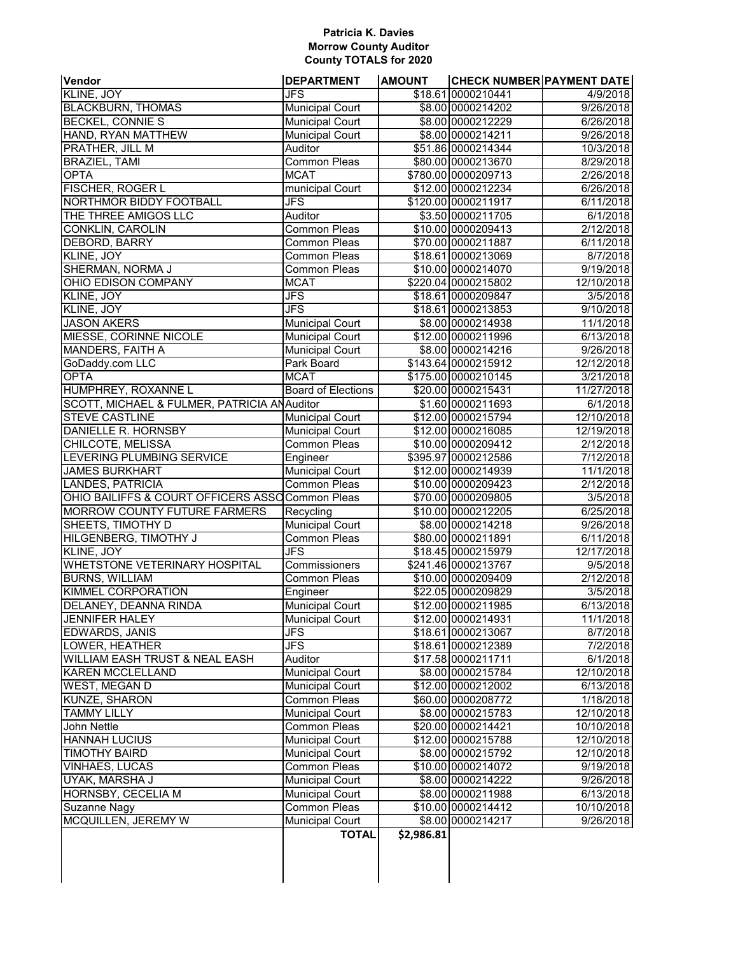### **Patricia K. Davies Morrow County Auditor County TOTALS for 2020**

| Vendor                                           | <b>DEPARTMENT</b>         | <b>AMOUNT</b> | <b>CHECK NUMBER PAYMENT DATE</b> |                     |
|--------------------------------------------------|---------------------------|---------------|----------------------------------|---------------------|
| KLINE, JOY                                       | JFS                       |               | \$18.61 0000210441               | 4/9/2018            |
| <b>BLACKBURN, THOMAS</b>                         | <b>Municipal Court</b>    |               | \$8.00 0000214202                | 9/26/2018           |
| <b>BECKEL, CONNIE S</b>                          | <b>Municipal Court</b>    |               | \$8.00 0000212229                | 6/26/2018           |
| HAND, RYAN MATTHEW                               | <b>Municipal Court</b>    |               | \$8.00 0000214211                | 9/26/2018           |
| PRATHER, JILL M                                  | Auditor                   |               | \$51.86 0000214344               | 10/3/2018           |
| <b>BRAZIEL, TAMI</b>                             | <b>Common Pleas</b>       |               | \$80.00 0000213670               | 8/29/2018           |
| <b>OPTA</b>                                      | <b>MCAT</b>               |               | \$780.00 0000209713              | 2/26/2018           |
| FISCHER, ROGER L                                 | municipal Court           |               | \$12.00 0000212234               | 6/26/2018           |
| NORTHMOR BIDDY FOOTBALL                          | <b>JFS</b>                |               | \$120.00 0000211917              | 6/11/2018           |
| THE THREE AMIGOS LLC                             | Auditor                   |               | \$3.50 0000211705                | 6/1/2018            |
| <b>CONKLIN, CAROLIN</b>                          | <b>Common Pleas</b>       |               | \$10.00 0000209413               | 2/12/2018           |
| <b>DEBORD, BARRY</b>                             | <b>Common Pleas</b>       |               | \$70.00 0000211887               | 6/11/2018           |
| KLINE, JOY                                       | <b>Common Pleas</b>       |               | \$18.61 0000213069               | 8/7/2018            |
| SHERMAN, NORMA J                                 | <b>Common Pleas</b>       |               | \$10.00 0000214070               | 9/19/2018           |
| OHIO EDISON COMPANY                              | <b>MCAT</b>               |               | \$220.04 0000215802              | 12/10/2018          |
| KLINE, JOY                                       | JFS                       |               | \$18.61 0000209847               | 3/5/2018            |
| KLINE, JOY                                       | <b>JFS</b>                |               | \$18.61 0000213853               | 9/10/2018           |
| <b>JASON AKERS</b>                               | <b>Municipal Court</b>    |               | \$8.00 0000214938                | 11/1/2018           |
| MIESSE, CORINNE NICOLE                           | <b>Municipal Court</b>    |               | \$12.00 0000211996               | 6/13/2018           |
| <b>MANDERS, FAITH A</b>                          | <b>Municipal Court</b>    |               | \$8.00 0000214216                | 9/26/2018           |
| GoDaddy.com LLC                                  | Park Board                |               | \$143.64 0000215912              | 12/12/2018          |
| <b>OPTA</b>                                      | <b>MCAT</b>               |               | \$175.00 0000210145              | 3/21/2018           |
|                                                  |                           |               |                                  | 11/27/2018          |
| HUMPHREY, ROXANNE L                              | <b>Board of Elections</b> |               | \$20.00 0000215431               |                     |
| SCOTT, MICHAEL & FULMER, PATRICIA ANAuditor      |                           |               | \$1.60 0000211693                | 6/1/2018            |
| <b>STEVE CASTLINE</b>                            | <b>Municipal Court</b>    |               | \$12.00 0000215794               | 12/10/2018          |
| DANIELLE R. HORNSBY                              | <b>Municipal Court</b>    |               | \$12.00 0000216085               | 12/19/2018          |
| CHILCOTE, MELISSA                                | <b>Common Pleas</b>       |               | \$10.00 0000209412               | 2/12/2018           |
| LEVERING PLUMBING SERVICE                        | Engineer                  |               | \$395.97 0000212586              | 7/12/2018           |
| <b>JAMES BURKHART</b>                            | <b>Municipal Court</b>    |               | \$12.00 0000214939               | 11/1/2018           |
| <b>LANDES, PATRICIA</b>                          | <b>Common Pleas</b>       |               | \$10.00 0000209423               | 2/12/2018           |
| OHIO BAILIFFS & COURT OFFICERS ASSO Common Pleas |                           |               | \$70.00 0000209805               | 3/5/2018            |
| <b>MORROW COUNTY FUTURE FARMERS</b>              | Recycling                 |               | \$10.00 0000212205               | 6/25/2018           |
| SHEETS, TIMOTHY D                                | <b>Municipal Court</b>    |               | \$8.00 0000214218                | 9/26/2018           |
| HILGENBERG, TIMOTHY J                            | <b>Common Pleas</b>       |               | \$80.00 0000211891               | 6/11/2018           |
| KLINE, JOY                                       | <b>JFS</b>                |               | \$18.45 0000215979               | 12/17/2018          |
| <b>WHETSTONE VETERINARY HOSPITAL</b>             | Commissioners             |               | \$241.46 0000213767              | 9/5/2018            |
| <b>BURNS, WILLIAM</b>                            | Common Pleas              |               | \$10.00 0000209409               | 2/12/2018           |
| KIMMEL CORPORATION                               | Engineer                  |               | \$22.05 0000209829               | 3/5/2018            |
| DELANEY, DEANNA RINDA                            | <b>Municipal Court</b>    |               | \$12.00 0000211985               | 6/13/2018           |
| <b>JENNIFER HALEY</b>                            | <b>Municipal Court</b>    |               | \$12.00 0000214931               | 11/1/2018           |
| EDWARDS, JANIS                                   | <b>JFS</b>                |               | \$18.61 0000213067               | 8/7/2018            |
| LOWER, HEATHER                                   | JFS                       |               | \$18.61 0000212389               | 7/2/2018            |
| WILLIAM EASH TRUST & NEAL EASH                   | Auditor                   |               | \$17.58 0000211711               | 6/1/2018            |
| <b>KAREN MCCLELLAND</b>                          | <b>Municipal Court</b>    |               | \$8.00 0000215784                | 12/10/2018          |
| WEST, MEGAN D                                    | <b>Municipal Court</b>    |               | \$12.00 0000212002               | 6/13/2018           |
| KUNZE, SHARON                                    | Common Pleas              |               | \$60.00 0000208772               | 1/18/2018           |
| <b>TAMMY LILLY</b>                               | <b>Municipal Court</b>    |               | \$8.00 0000215783                | 12/10/2018          |
| John Nettle                                      | <b>Common Pleas</b>       |               | \$20.00 0000214421               | 10/10/2018          |
| <b>HANNAH LUCIUS</b>                             | <b>Municipal Court</b>    |               | \$12.00 0000215788               | 12/10/2018          |
| <b>TIMOTHY BAIRD</b>                             | <b>Municipal Court</b>    |               | \$8.00 0000215792                | 12/10/2018          |
| VINHAES, LUCAS                                   | Common Pleas              |               | \$10.00 0000214072               | 9/19/2018           |
| UYAK, MARSHA J                                   | <b>Municipal Court</b>    |               | \$8.00 0000214222                | $\frac{9}{26/2018}$ |
| HORNSBY, CECELIA M                               | <b>Municipal Court</b>    |               | \$8.00 0000211988                | 6/13/2018           |
| Suzanne Nagy                                     | <b>Common Pleas</b>       |               | \$10.00 0000214412               | 10/10/2018          |
| MCQUILLEN, JEREMY W                              | <b>Municipal Court</b>    |               | \$8.00 0000214217                | 9/26/2018           |
|                                                  | <b>TOTAL</b>              | \$2,986.81    |                                  |                     |
|                                                  |                           |               |                                  |                     |
|                                                  |                           |               |                                  |                     |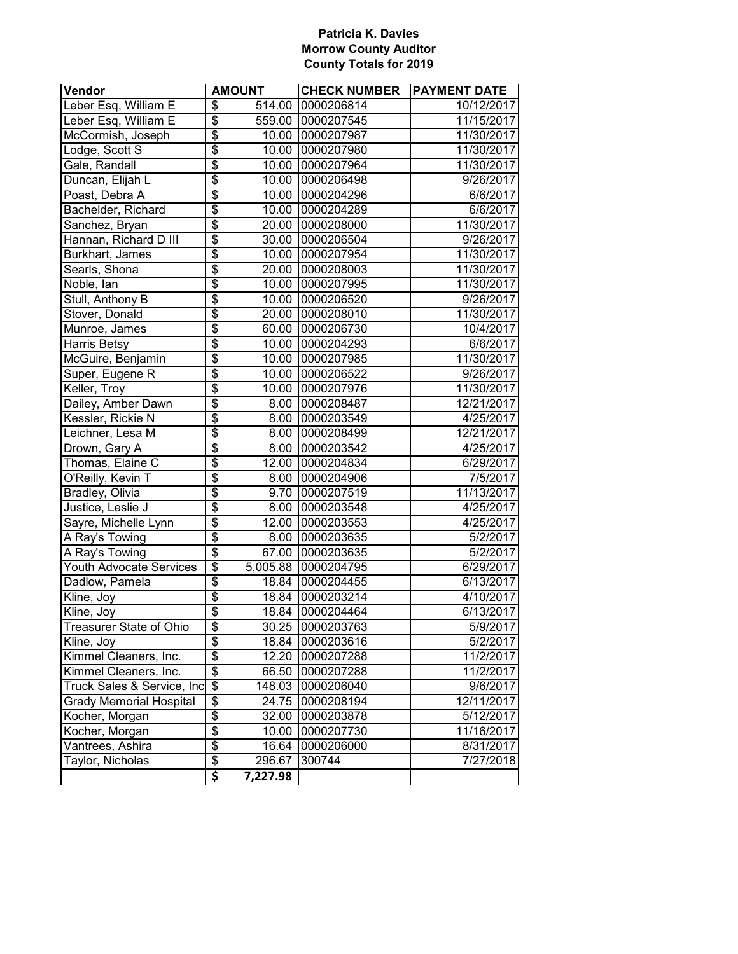### **Patricia K. Davies Morrow County Auditor County Totals for 2019**

| Vendor                         | <b>AMOUNT</b>                         | <b>CHECK NUMBER PAYMENT DATE</b> |            |
|--------------------------------|---------------------------------------|----------------------------------|------------|
| Leber Esq, William E           | $\overline{\boldsymbol{\theta}}$      | 514.00 0000206814                | 10/12/2017 |
| Leber Esq, William E           | $\overline{\$}$                       | 559.00 0000207545                | 11/15/2017 |
| McCormish, Joseph              | $\overline{\$}$                       | 10.00 0000207987                 | 11/30/2017 |
| Lodge, Scott S                 | $\overline{\$}$                       | 10.00 0000207980                 | 11/30/2017 |
| Gale, Randall                  | $\overline{\$}$                       | 10.00 0000207964                 | 11/30/2017 |
| Duncan, Elijah L               | $\overline{\$}$                       | 10.00 0000206498                 | 9/26/2017  |
| Poast, Debra A                 | $\overline{\$}$                       | 10.00 0000204296                 | 6/6/2017   |
| Bachelder, Richard             | $\overline{\$}$                       | 10.00 0000204289                 | 6/6/2017   |
| Sanchez, Bryan                 | $\overline{\$}$                       | 20.00 0000208000                 | 11/30/2017 |
| Hannan, Richard D III          | $\overline{\$}$                       | 30.00 0000206504                 | 9/26/2017  |
| Burkhart, James                | $\overline{\$}$                       | 10.00 0000207954                 | 11/30/2017 |
| Searls, Shona                  | $\overline{\$}$                       | 20.00 0000208003                 | 11/30/2017 |
| Noble, Ian                     | $\overline{\$}$                       | 10.00 0000207995                 | 11/30/2017 |
| Stull, Anthony B               | $\overline{\$}$                       | 10.00 0000206520                 | 9/26/2017  |
| Stover, Donald                 | $\overline{\$}$                       | 20.00 0000208010                 | 11/30/2017 |
| Munroe, James                  | $\overline{\$}$                       | 60.00 0000206730                 | 10/4/2017  |
| Harris Betsy                   | $\overline{\$}$                       | 10.00 0000204293                 | 6/6/2017   |
| McGuire, Benjamin              | $\overline{\$}$                       | 10.00 0000207985                 | 11/30/2017 |
| Super, Eugene R                | $\overline{\$}$                       | 10.00 0000206522                 | 9/26/2017  |
| Keller, Troy                   | $\overline{\$}$                       | 10.00 0000207976                 | 11/30/2017 |
| Dailey, Amber Dawn             | $\overline{\$}$                       | 8.00 0000208487                  | 12/21/2017 |
| Kessler, Rickie N              | $\overline{\$}$                       | 8.00 0000203549                  | 4/25/2017  |
| Leichner, Lesa M               | $\overline{\$}$                       | 8.00 0000208499                  | 12/21/2017 |
| Drown, Gary A                  | $\overline{\$}$                       | 8.00 0000203542                  | 4/25/2017  |
| Thomas, Elaine C               | $\overline{\$}$                       | 12.00 0000204834                 | 6/29/2017  |
| O'Reilly, Kevin T              | $\overline{\$}$                       | 8.00 0000204906                  | 7/5/2017   |
| <b>Bradley, Olivia</b>         | $\overline{\$}$<br>9.70               | 0000207519                       | 11/13/2017 |
| Justice, Leslie J              | $\overline{\$}$<br>8.00               | 0000203548                       | 4/25/2017  |
| Sayre, Michelle Lynn           | $\overline{\$}$<br>$\overline{12.00}$ | 0000203553                       | 4/25/2017  |
| A Ray's Towing                 | $\overline{\$}$                       | 8.00 0000203635                  | 5/2/2017   |
| A Ray's Towing                 | $\overline{\$}$                       | 67.00 0000203635                 | 5/2/2017   |
| <b>Youth Advocate Services</b> | $\overline{\$}$                       | 5,005.88 0000204795              | 6/29/2017  |
| Dadlow, Pamela                 | $\overline{\$}$                       | 18.84 0000204455                 | 6/13/2017  |
| Kline, Joy                     | $\overline{\$}$                       | 18.84 0000203214                 | 4/10/2017  |
| Kline, Joy                     | $\overline{\$}$<br>18.84              | 0000204464                       | 6/13/2017  |
| Treasurer State of Ohio        | \$                                    | 30.25 0000203763                 | 5/9/2017   |
| Kline, Joy                     | \$<br>18.84                           | 0000203616                       | 5/2/2017   |
| Kimmel Cleaners, Inc.          | \$<br>12.20                           | 0000207288                       | 11/2/2017  |
| Kimmel Cleaners, Inc.          | $\overline{\$}$<br>66.50              | 0000207288                       | 11/2/2017  |
| Truck Sales & Service, Inc     | $\overline{\mathcal{S}}$<br>148.03    | 0000206040                       | 9/6/2017   |
| <b>Grady Memorial Hospital</b> | $\overline{\mathcal{E}}$<br>24.75     | 0000208194                       | 12/11/2017 |
| Kocher, Morgan                 | $\overline{\$}$<br>32.00              | 0000203878                       | 5/12/2017  |
| Kocher, Morgan                 | $\overline{\$}$<br>10.00              | 0000207730                       | 11/16/2017 |
| Vantrees, Ashira               | $\overline{\$}$<br>16.64              | 0000206000                       | 8/31/2017  |
| Taylor, Nicholas               | \$<br>296.67                          | 300744                           | 7/27/2018  |
|                                | \$<br>7,227.98                        |                                  |            |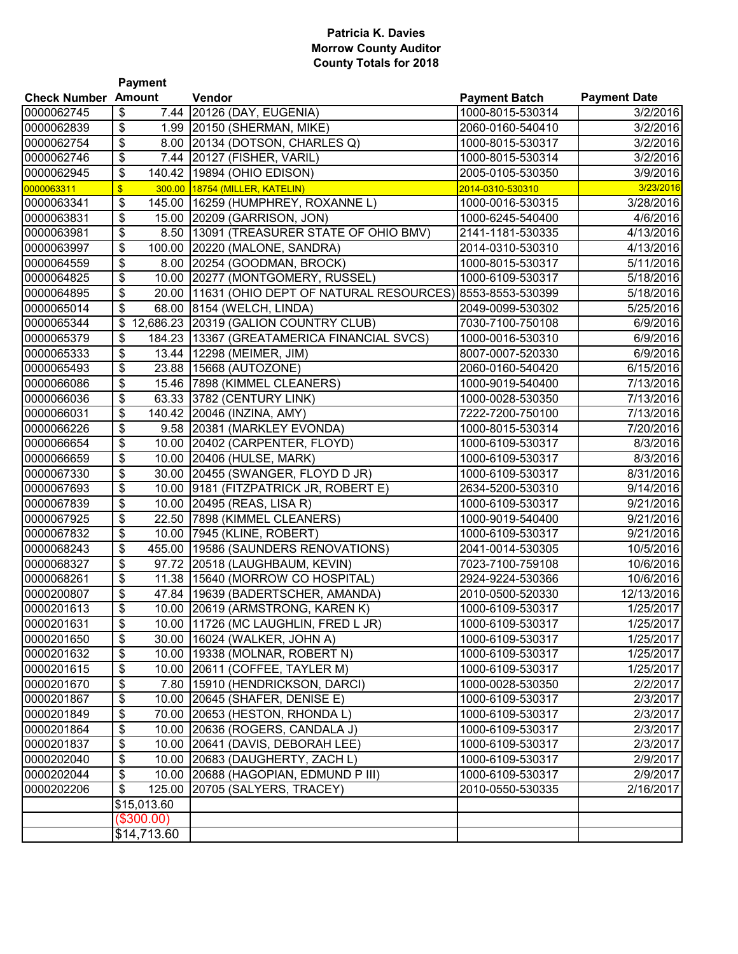### **Patricia K. Davies Morrow County Auditor County Totals for 2018**

|                            | <b>Payment</b>          |                                            |                      |                     |  |  |
|----------------------------|-------------------------|--------------------------------------------|----------------------|---------------------|--|--|
| <b>Check Number Amount</b> |                         | Vendor                                     | <b>Payment Batch</b> | <b>Payment Date</b> |  |  |
| 0000062745                 | \$<br>7.44              | 20126 (DAY, EUGENIA)                       | 1000-8015-530314     | 3/2/2016            |  |  |
| 0000062839                 | \$                      | 1.99 20150 (SHERMAN, MIKE)                 | 2060-0160-540410     | 3/2/2016            |  |  |
| 0000062754                 | \$                      | 8.00 20134 (DOTSON, CHARLES Q)             | 1000-8015-530317     | 3/2/2016            |  |  |
| 0000062746                 | \$                      | 7.44 20127 (FISHER, VARIL)                 | 1000-8015-530314     | 3/2/2016            |  |  |
| 0000062945                 | \$                      | 140.42 19894 (OHIO EDISON)                 | 2005-0105-530350     | 3/9/2016            |  |  |
| 0000063311                 | $\overline{\mathbf{S}}$ | 300.00 18754 (MILLER, KATELIN)             | 2014-0310-530310     | 3/23/2016           |  |  |
| 0000063341                 | \$<br>145.00            | 16259 (HUMPHREY, ROXANNE L)                | 1000-0016-530315     | 3/28/2016           |  |  |
| 0000063831                 | \$                      | 15.00 20209 (GARRISON, JON)                | 1000-6245-540400     | 4/6/2016            |  |  |
| 0000063981                 | \$<br>8.50              | [13091 (TREASURER STATE OF OHIO BMV)       | 2141-1181-530335     | 4/13/2016           |  |  |
| 0000063997                 | \$<br>100.00            | 20220 (MALONE, SANDRA)                     | 2014-0310-530310     | 4/13/2016           |  |  |
| 0000064559                 | \$<br>8.00              | 20254 (GOODMAN, BROCK)                     | 1000-8015-530317     | 5/11/2016           |  |  |
| 0000064825                 | \$<br>10.00             | 20277 (MONTGOMERY, RUSSEL)                 | 1000-6109-530317     | 5/18/2016           |  |  |
| 0000064895                 | \$<br>20.00             | 11631 (OHIO DEPT OF NATURAL RESOURCES)     | 8553-8553-530399     | 5/18/2016           |  |  |
| 0000065014                 | \$<br>68.00             | 8154 (WELCH, LINDA)                        | 2049-0099-530302     | 5/25/2016           |  |  |
| 0000065344                 | \$                      | 12,686.23 20319 (GALION COUNTRY CLUB)      | 7030-7100-750108     | 6/9/2016            |  |  |
| 0000065379                 | \$                      | 184.23 13367 (GREATAMERICA FINANCIAL SVCS) | 1000-0016-530310     | 6/9/2016            |  |  |
| 0000065333                 | \$                      | 13.44   12298 (MEIMER, JIM)                | 8007-0007-520330     | 6/9/2016            |  |  |
| 0000065493                 | \$                      | 23.88   15668 (AUTOZONE)                   | 2060-0160-540420     | 6/15/2016           |  |  |
| 0000066086                 | \$                      | 15.46 7898 (KIMMEL CLEANERS)               | 1000-9019-540400     | 7/13/2016           |  |  |
| 0000066036                 | \$                      | 63.33 3782 (CENTURY LINK)                  | 1000-0028-530350     | 7/13/2016           |  |  |
| 0000066031                 | \$<br>140.42            | 20046 (INZINA, AMY)                        | 7222-7200-750100     | 7/13/2016           |  |  |
| 0000066226                 | \$                      | 9.58 20381 (MARKLEY EVONDA)                | 1000-8015-530314     | 7/20/2016           |  |  |
| 0000066654                 | \$<br>10.00             | 20402 (CARPENTER, FLOYD)                   | 1000-6109-530317     | 8/3/2016            |  |  |
| 0000066659                 | \$<br>10.00             | 20406 (HULSE, MARK)                        | 1000-6109-530317     | 8/3/2016            |  |  |
| 0000067330                 | \$<br>30.00             | 20455 (SWANGER, FLOYD D JR)                | 1000-6109-530317     | 8/31/2016           |  |  |
| 0000067693                 | \$<br>10.00             | 9181 (FITZPATRICK JR, ROBERT E)            | 2634-5200-530310     | 9/14/2016           |  |  |
| 0000067839                 | \$                      | 10.00 20495 (REAS, LISA R)                 | 1000-6109-530317     | 9/21/2016           |  |  |
| 0000067925                 | \$<br>22.50             | 7898 (KIMMEL CLEANERS)                     | 1000-9019-540400     | 9/21/2016           |  |  |
| 0000067832                 | \$<br>10.00             | 7945 (KLINE, ROBERT)                       | 1000-6109-530317     | 9/21/2016           |  |  |
| 0000068243                 | \$<br>455.00            | 19586 (SAUNDERS RENOVATIONS)               | 2041-0014-530305     | 10/5/2016           |  |  |
| 0000068327                 | \$<br>97.72             | 20518 (LAUGHBAUM, KEVIN)                   | 7023-7100-759108     | 10/6/2016           |  |  |
| 0000068261                 | \$<br>11.38             | 15640 (MORROW CO HOSPITAL)                 | 2924-9224-530366     | 10/6/2016           |  |  |
| 0000200807                 | \$                      | 47.84   19639 (BADERTSCHER, AMANDA)        | 2010-0500-520330     | 12/13/2016          |  |  |
| 0000201613                 | \$                      | 10.00 20619 (ARMSTRONG, KAREN K)           | 1000-6109-530317     | 1/25/2017           |  |  |
| 0000201631                 | \$                      | 10.00   11726 (MC LAUGHLIN, FRED L JR)     | 1000-6109-530317     | 1/25/2017           |  |  |
| 0000201650                 | \$                      | 30.00 16024 (WALKER, JOHN A)               | 1000-6109-530317     | 1/25/2017           |  |  |
| 0000201632                 | \$                      | 10.00   19338 (MOLNAR, ROBERT N)           | 1000-6109-530317     | 1/25/2017           |  |  |
| 0000201615                 | \$                      | 10.00 20611 (COFFEE, TAYLER M)             | 1000-6109-530317     | 1/25/2017           |  |  |
| 0000201670                 | \$                      | 7.80 15910 (HENDRICKSON, DARCI)            | 1000-0028-530350     | 2/2/2017            |  |  |
| 0000201867                 | \$                      | 10.00 20645 (SHAFER, DENISE E)             | 1000-6109-530317     | 2/3/2017            |  |  |
| 0000201849                 | \$                      | 70.00 20653 (HESTON, RHONDA L)             | 1000-6109-530317     | 2/3/2017            |  |  |
| 0000201864                 | \$                      | 10.00 20636 (ROGERS, CANDALA J)            | 1000-6109-530317     | 2/3/2017            |  |  |
| 0000201837                 | \$                      | 10.00 20641 (DAVIS, DEBORAH LEE)           | 1000-6109-530317     | 2/3/2017            |  |  |
| 0000202040                 | \$                      | 10.00 20683 (DAUGHERTY, ZACH L)            | 1000-6109-530317     | 2/9/2017            |  |  |
| 0000202044                 | \$                      | 10.00 20688 (HAGOPIAN, EDMUND P III)       | 1000-6109-530317     | 2/9/2017            |  |  |
| 0000202206                 | \$                      | 125.00 20705 (SALYERS, TRACEY)             | 2010-0550-530335     | 2/16/2017           |  |  |
|                            | \$15,013.60             |                                            |                      |                     |  |  |
|                            | $(\$300.00)$            |                                            |                      |                     |  |  |
|                            | \$14,713.60             |                                            |                      |                     |  |  |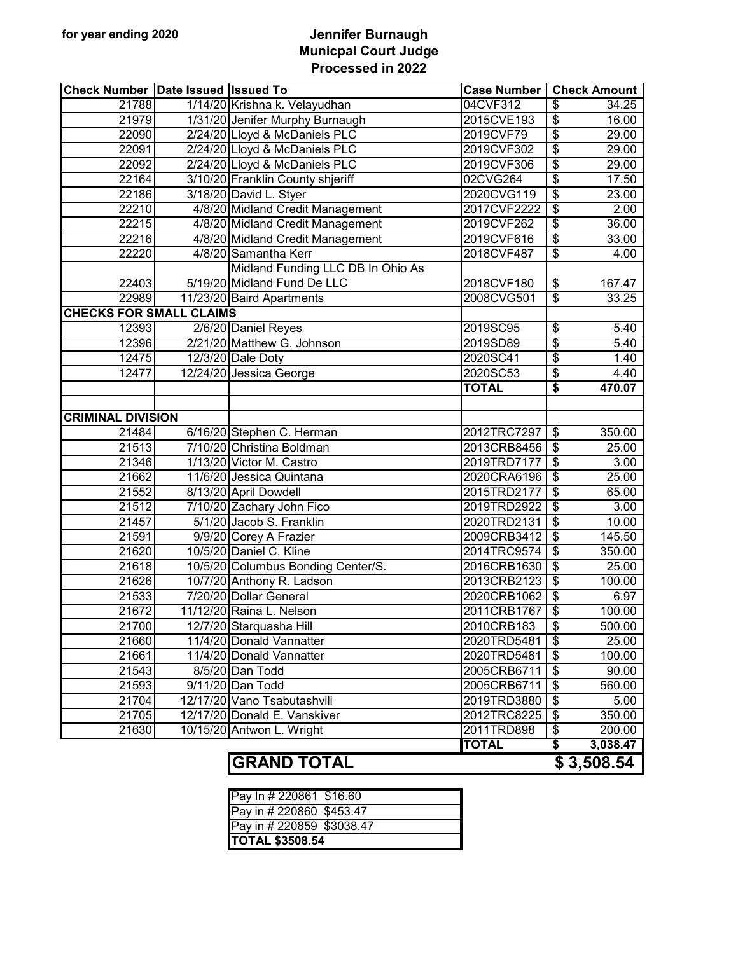### **for year ending 2020 Jennifer Burnaugh Municpal Court Judge Processed in 2022**

| <b>Check Number Date Issued Issued To</b> |                                    | <b>Case Number</b> | <b>Check Amount</b>                |
|-------------------------------------------|------------------------------------|--------------------|------------------------------------|
| 21788                                     | 1/14/20 Krishna k. Velayudhan      | 04CVF312           | \$<br>34.25                        |
| 21979                                     | 1/31/20 Jenifer Murphy Burnaugh    | 2015CVE193         | \$<br>16.00                        |
| 22090                                     | 2/24/20 Lloyd & McDaniels PLC      | 2019CVF79          | \$<br>29.00                        |
| 22091                                     | 2/24/20 Lloyd & McDaniels PLC      | 2019CVF302         | \$<br>29.00                        |
| 22092                                     | 2/24/20 Lloyd & McDaniels PLC      | 2019CVF306         | \$<br>29.00                        |
| 22164                                     | 3/10/20 Franklin County shjeriff   | 02CVG264           | \$<br>17.50                        |
| 22186                                     | 3/18/20 David L. Styer             | 2020CVG119         | \$<br>23.00                        |
| 22210                                     | 4/8/20 Midland Credit Management   | 2017CVF2222        | \$<br>2.00                         |
| 22215                                     | 4/8/20 Midland Credit Management   | 2019CVF262         | \$<br>36.00                        |
| 22216                                     | 4/8/20 Midland Credit Management   | 2019CVF616         | \$<br>33.00                        |
| 22220                                     | 4/8/20 Samantha Kerr               | 2018CVF487         | $\overline{\mathbf{e}}$<br>4.00    |
|                                           | Midland Funding LLC DB In Ohio As  |                    |                                    |
| 22403                                     | 5/19/20 Midland Fund De LLC        | 2018CVF180         | \$<br>167.47                       |
| 22989                                     | 11/23/20 Baird Apartments          | 2008CVG501         | \$<br>33.25                        |
| <b>CHECKS FOR SMALL CLAIMS</b>            |                                    |                    |                                    |
| 12393                                     | 2/6/20 Daniel Reyes                | 2019SC95           | \$<br>5.40                         |
| 12396                                     | 2/21/20 Matthew G. Johnson         | 2019SD89           | \$<br>5.40                         |
| 12475                                     | 12/3/20 Dale Doty                  | 2020SC41           | \$<br>1.40                         |
| 12477                                     | 12/24/20 Jessica George            | 2020SC53           | \$<br>4.40                         |
|                                           |                                    | <b>TOTAL</b>       | \$<br>470.07                       |
|                                           |                                    |                    |                                    |
| <b>CRIMINAL DIVISION</b>                  |                                    |                    |                                    |
| 21484                                     | 6/16/20 Stephen C. Herman          | 2012TRC7297        | \$<br>350.00                       |
| 21513                                     | 7/10/20 Christina Boldman          | 2013CRB8456        | \$<br>25.00                        |
| 21346                                     | 1/13/20 Victor M. Castro           | 2019TRD7177        | \$<br>3.00                         |
| 21662                                     | 11/6/20 Jessica Quintana           | 2020CRA6196        | \$<br>25.00                        |
| 21552                                     | 8/13/20 April Dowdell              | 2015TRD2177        | \$<br>65.00                        |
| 21512                                     | 7/10/20 Zachary John Fico          | 2019TRD2922        | \$<br>3.00                         |
| 21457                                     | 5/1/20 Jacob S. Franklin           | 2020TRD2131        | \$<br>10.00                        |
| 21591                                     | 9/9/20 Corey A Frazier             | 2009CRB3412        | $\overline{\mathbf{e}}$<br>145.50  |
| 21620                                     | 10/5/20 Daniel C. Kline            | 2014TRC9574        | $\overline{\$}$<br>350.00          |
| 21618                                     | 10/5/20 Columbus Bonding Center/S. | 2016CRB1630        | $\overline{\mathbf{e}}$<br>25.00   |
| 21626                                     | 10/7/20 Anthony R. Ladson          | 2013CRB2123        | $\overline{\$}$<br>100.00          |
| 21533                                     | 7/20/20 Dollar General             | 2020CRB1062        | $\overline{\mathbf{e}}$<br>6.97    |
| 21672                                     | 11/12/20 Raina L. Nelson           | 2011CRB1767        | \$<br>100.00                       |
| 21700                                     | 12/7/20 Starquasha Hill            | 2010CRB183         | \$<br>500.00                       |
| 21660                                     | 11/4/20 Donald Vannatter           | 2020TRD5481        | \$<br>25.00                        |
| 21661                                     | 11/4/20 Donald Vannatter           | 2020TRD5481        | \$<br>100.00                       |
| 21543                                     | 8/5/20 Dan Todd                    | 2005CRB6711        | $\overline{\mathcal{S}}$<br>90.00  |
| 21593                                     | 9/11/20 Dan Todd                   | 2005CRB6711        | $\overline{\mathcal{S}}$<br>560.00 |
| 21704                                     | 12/17/20 Vano Tsabutashvili        | 2019TRD3880        | $\overline{\mathcal{S}}$<br>5.00   |
| 21705                                     | 12/17/20 Donald E. Vanskiver       | 2012TRC8225        | \$<br>350.00                       |
| 21630                                     | 10/15/20 Antwon L. Wright          | 2011TRD898         | \$<br>200.00                       |
|                                           |                                    | <b>TOTAL</b>       | \$<br>3,038.47                     |

# **GRAND TOTAL \$ 3,508.54**

| <b>TOTAL \$3508.54</b>    |  |
|---------------------------|--|
| Pay in # 220859 \$3038.47 |  |
| Pay in # 220860 \$453.47  |  |
| Pay In # 220861 \$16.60   |  |
|                           |  |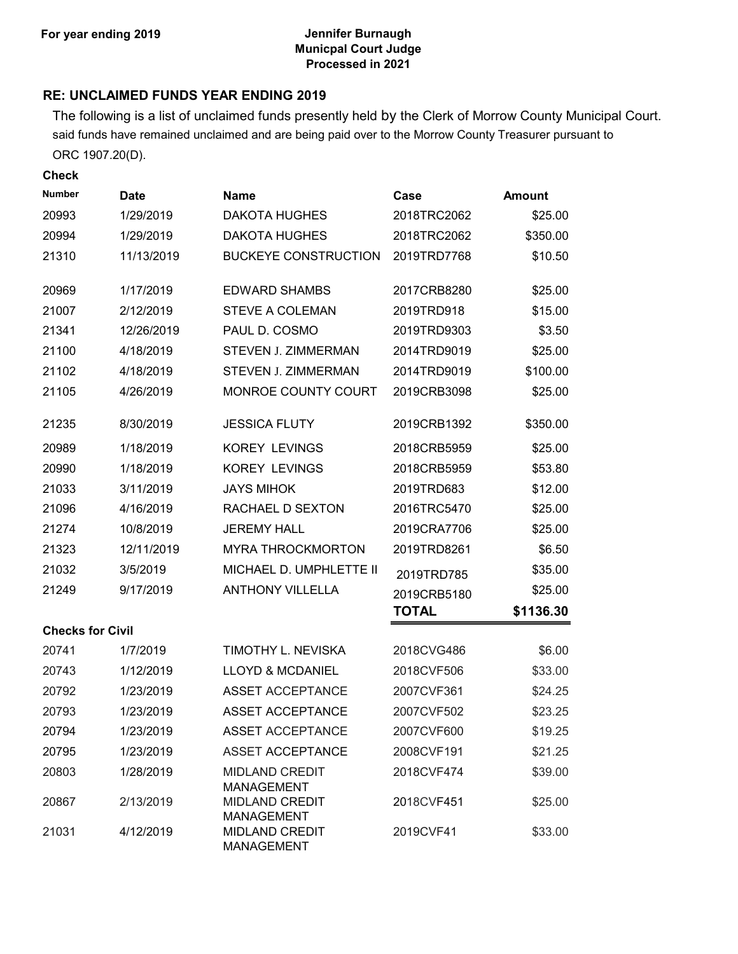### **For year ending 2019 Jennifer Burnaugh Municpal Court Judge Processed in 2021**

### **RE: UNCLAIMED FUNDS YEAR ENDING 2019**

The following is a list of unclaimed funds presently held by the Clerk of Morrow County Municipal Court. said funds have remained unclaimed and are being paid over to the Morrow County Treasurer pursuant to ORC 1907.20(D).

**Check**

| Number                  | <b>Date</b> | <b>Name</b>                                | Case        | <b>Amount</b> |
|-------------------------|-------------|--------------------------------------------|-------------|---------------|
| 20993                   | 1/29/2019   | <b>DAKOTA HUGHES</b>                       | 2018TRC2062 | \$25.00       |
| 20994                   | 1/29/2019   | <b>DAKOTA HUGHES</b>                       | 2018TRC2062 | \$350.00      |
| 21310                   | 11/13/2019  | <b>BUCKEYE CONSTRUCTION</b>                | 2019TRD7768 | \$10.50       |
| 20969                   | 1/17/2019   | <b>EDWARD SHAMBS</b>                       | 2017CRB8280 | \$25.00       |
| 21007                   | 2/12/2019   | <b>STEVE A COLEMAN</b>                     | 2019TRD918  | \$15.00       |
| 21341                   | 12/26/2019  | PAUL D. COSMO                              | 2019TRD9303 | \$3.50        |
| 21100                   | 4/18/2019   | STEVEN J. ZIMMERMAN                        | 2014TRD9019 | \$25.00       |
| 21102                   | 4/18/2019   | STEVEN J. ZIMMERMAN                        | 2014TRD9019 | \$100.00      |
| 21105                   | 4/26/2019   | MONROE COUNTY COURT                        | 2019CRB3098 | \$25.00       |
| 21235                   | 8/30/2019   | <b>JESSICA FLUTY</b>                       | 2019CRB1392 | \$350.00      |
| 20989                   | 1/18/2019   | <b>KOREY LEVINGS</b>                       | 2018CRB5959 | \$25.00       |
| 20990                   | 1/18/2019   | <b>KOREY LEVINGS</b>                       | 2018CRB5959 | \$53.80       |
| 21033                   | 3/11/2019   | <b>JAYS MIHOK</b>                          | 2019TRD683  | \$12.00       |
| 21096                   | 4/16/2019   | RACHAEL D SEXTON                           | 2016TRC5470 | \$25.00       |
| 21274                   | 10/8/2019   | <b>JEREMY HALL</b>                         | 2019CRA7706 | \$25.00       |
| 21323                   | 12/11/2019  | <b>MYRA THROCKMORTON</b>                   | 2019TRD8261 | \$6.50        |
| 21032                   | 3/5/2019    | MICHAEL D. UMPHLETTE II                    | 2019TRD785  | \$35.00       |
| 21249                   | 9/17/2019   | <b>ANTHONY VILLELLA</b>                    | 2019CRB5180 | \$25.00       |
|                         |             |                                            | TOTAL       | \$1136.30     |
| <b>Checks for Civil</b> |             |                                            |             |               |
| 20741                   | 1/7/2019    | TIMOTHY L. NEVISKA                         | 2018CVG486  | \$6.00        |
| 20743                   | 1/12/2019   | <b>LLOYD &amp; MCDANIEL</b>                | 2018CVF506  | \$33.00       |
| 20792                   | 1/23/2019   | <b>ASSET ACCEPTANCE</b>                    | 2007CVF361  | \$24.25       |
| 20793                   | 1/23/2019   | <b>ASSET ACCEPTANCE</b>                    | 2007CVF502  | \$23.25       |
| 20794                   | 1/23/2019   | <b>ASSET ACCEPTANCE</b>                    | 2007CVF600  | \$19.25       |
| 20795                   | 1/23/2019   | <b>ASSET ACCEPTANCE</b>                    | 2008CVF191  | \$21.25       |
| 20803                   | 1/28/2019   | <b>MIDLAND CREDIT</b><br><b>MANAGEMENT</b> | 2018CVF474  | \$39.00       |
| 20867                   | 2/13/2019   | <b>MIDLAND CREDIT</b><br><b>MANAGEMENT</b> | 2018CVF451  | \$25.00       |
| 21031                   | 4/12/2019   | <b>MIDLAND CREDIT</b><br><b>MANAGEMENT</b> | 2019CVF41   | \$33.00       |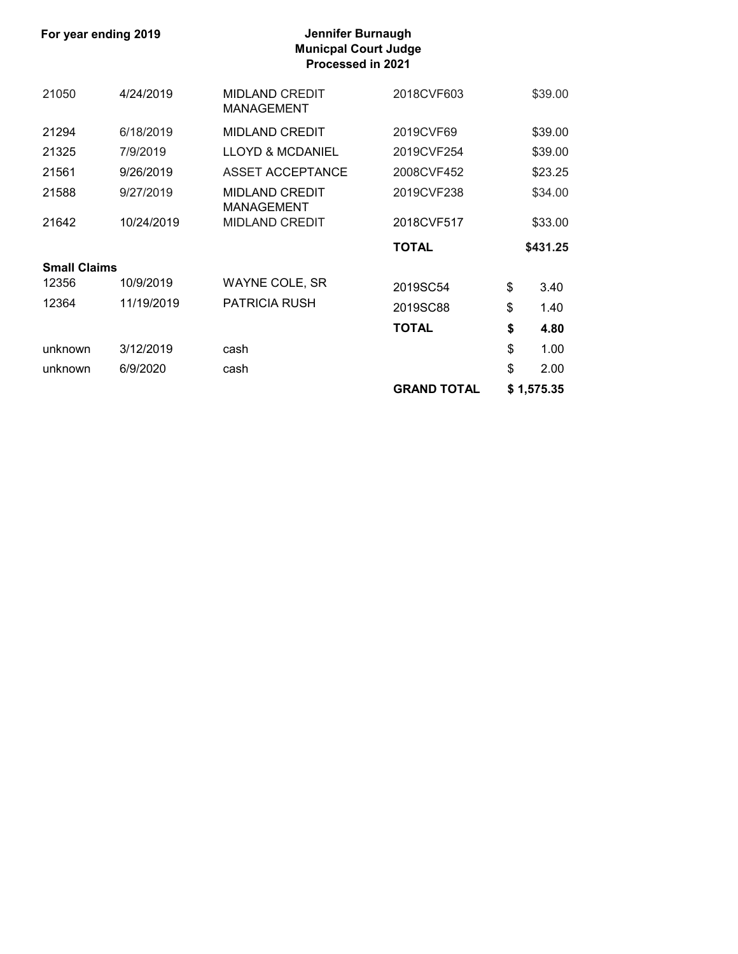**For year ending 2019** 

# **Municpal Court Judge Processed in 2021**

| 21050               | 4/24/2019  | <b>MIDLAND CREDIT</b><br><b>MANAGEMENT</b> | 2018CVF603   | \$39.00    |
|---------------------|------------|--------------------------------------------|--------------|------------|
| 21294               | 6/18/2019  | <b>MIDLAND CREDIT</b>                      | 2019CVF69    | \$39.00    |
| 21325               | 7/9/2019   | <b>LLOYD &amp; MCDANIEL</b>                | 2019CVF254   | \$39.00    |
| 21561               | 9/26/2019  | <b>ASSET ACCEPTANCE</b>                    | 2008CVF452   | \$23.25    |
| 21588               | 9/27/2019  | <b>MIDLAND CREDIT</b><br><b>MANAGEMENT</b> | 2019CVF238   | \$34.00    |
| 21642               | 10/24/2019 | <b>MIDLAND CREDIT</b>                      | 2018CVF517   | \$33.00    |
|                     |            |                                            | <b>TOTAL</b> | \$431.25   |
| <b>Small Claims</b> |            |                                            |              |            |
| 12356               | 10/9/2019  | <b>WAYNE COLE, SR</b>                      | 2019SC54     | \$<br>3.40 |
| 12364               | 11/19/2019 | <b>PATRICIA RUSH</b>                       | 2019SC88     | \$<br>1.40 |
|                     |            |                                            | <b>TOTAL</b> | \$<br>4.80 |
| unknown             | 3/12/2019  | cash                                       |              | \$<br>1.00 |
| unknown             | 6/9/2020   | cash                                       |              | \$<br>2.00 |
|                     |            |                                            |              |            |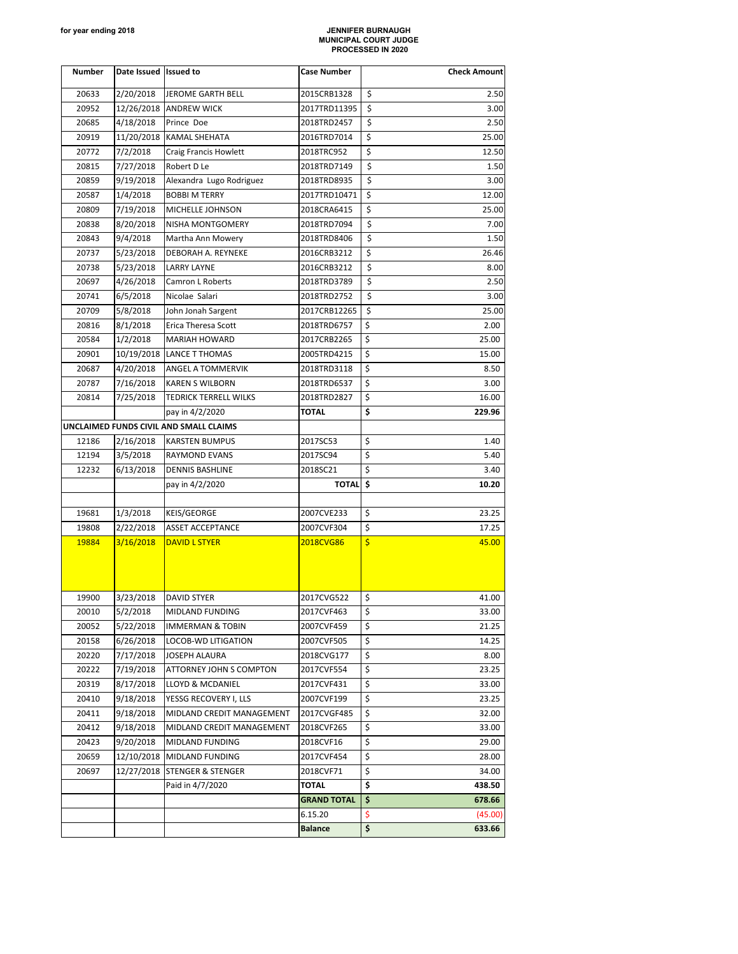#### **for year ending 2018 JENNIFER BURNAUGH MUNICIPAL COURT JUDGE PROCESSED IN 2020**

| Number | Date Issued Issued to |                                        | Case Number        | <b>Check Amount</b> |
|--------|-----------------------|----------------------------------------|--------------------|---------------------|
| 20633  | 2/20/2018             | JEROME GARTH BELL                      | 2015CRB1328        | \$<br>2.50          |
| 20952  |                       | 12/26/2018 ANDREW WICK                 | 2017TRD11395       | \$<br>3.00          |
| 20685  | 4/18/2018             | Prince Doe                             | 2018TRD2457        | \$<br>2.50          |
| 20919  |                       | 11/20/2018 KAMAL SHEHATA               | 2016TRD7014        | \$<br>25.00         |
| 20772  | 7/2/2018              | <b>Craig Francis Howlett</b>           | 2018TRC952         | \$<br>12.50         |
| 20815  | 7/27/2018             | Robert D Le                            | 2018TRD7149        | \$<br>1.50          |
| 20859  | 9/19/2018             | Alexandra Lugo Rodriguez               | 2018TRD8935        | \$<br>3.00          |
| 20587  | 1/4/2018              | <b>BOBBI M TERRY</b>                   | 2017TRD10471       | \$<br>12.00         |
| 20809  | 7/19/2018             | MICHELLE JOHNSON                       | 2018CRA6415        | \$<br>25.00         |
| 20838  | 8/20/2018             | NISHA MONTGOMERY                       | 2018TRD7094        | \$<br>7.00          |
| 20843  | 9/4/2018              | Martha Ann Mowery                      | 2018TRD8406        | \$<br>1.50          |
| 20737  | 5/23/2018             | DEBORAH A. REYNEKE                     | 2016CRB3212        | \$<br>26.46         |
| 20738  | 5/23/2018             | <b>LARRY LAYNE</b>                     | 2016CRB3212        | \$<br>8.00          |
| 20697  | 4/26/2018             | Camron L Roberts                       | 2018TRD3789        | \$<br>2.50          |
| 20741  | 6/5/2018              | Nicolae Salari                         | 2018TRD2752        | \$<br>3.00          |
| 20709  | 5/8/2018              | John Jonah Sargent                     | 2017CRB12265       | \$<br>25.00         |
| 20816  | 8/1/2018              | Erica Theresa Scott                    | 2018TRD6757        | \$<br>2.00          |
| 20584  | 1/2/2018              | <b>MARIAH HOWARD</b>                   | 2017CRB2265        | \$<br>25.00         |
| 20901  |                       | 10/19/2018 LANCE T THOMAS              | 2005TRD4215        | \$<br>15.00         |
| 20687  | 4/20/2018             | ANGEL A TOMMERVIK                      | 2018TRD3118        | \$<br>8.50          |
| 20787  | 7/16/2018             | <b>KAREN S WILBORN</b>                 | 2018TRD6537        | \$<br>3.00          |
| 20814  | 7/25/2018             | TEDRICK TERRELL WILKS                  | 2018TRD2827        | \$<br>16.00         |
|        |                       | pay in 4/2/2020                        | TOTAL              | \$<br>229.96        |
|        |                       | UNCLAIMED FUNDS CIVIL AND SMALL CLAIMS |                    |                     |
| 12186  | 2/16/2018             | <b>KARSTEN BUMPUS</b>                  | 2017SC53           | \$<br>1.40          |
| 12194  | 3/5/2018              | RAYMOND EVANS                          | 2017SC94           | \$<br>5.40          |
| 12232  | 6/13/2018             | DENNIS BASHLINE                        | 2018SC21           | \$<br>3.40          |
|        |                       | pay in 4/2/2020                        | TOTAL \$           | 10.20               |
|        |                       |                                        |                    |                     |
| 19681  | 1/3/2018              | <b>KEIS/GEORGE</b>                     | 2007CVE233         | \$<br>23.25         |
| 19808  | 2/22/2018             | ASSET ACCEPTANCE                       | 2007CVF304         | \$<br>17.25         |
| 19884  | 3/16/2018             | <b>DAVID L STYER</b>                   | 2018CVG86          | \$<br>45.00         |
| 19900  | 3/23/2018             | <b>DAVID STYER</b>                     | 2017CVG522         | \$<br>41.00         |
| 20010  | 5/2/2018              | MIDLAND FUNDING                        | 2017CVF463         | \$<br>33.00         |
| 20052  | 5/22/2018             | <b>IMMERMAN &amp; TOBIN</b>            | 2007CVF459         | \$<br>21.25         |
| 20158  | 6/26/2018             | LOCOB-WD LITIGATION                    | 2007CVF505         | \$<br>14.25         |
| 20220  | 7/17/2018             | JOSEPH ALAURA                          | 2018CVG177         | \$<br>8.00          |
| 20222  | 7/19/2018             | ATTORNEY JOHN S COMPTON                | 2017CVF554         | \$<br>23.25         |
| 20319  | 8/17/2018             | LLOYD & MCDANIEL                       | 2017CVF431         | \$<br>33.00         |
| 20410  | 9/18/2018             | YESSG RECOVERY I, LLS                  | 2007CVF199         | \$<br>23.25         |
| 20411  | 9/18/2018             | MIDLAND CREDIT MANAGEMENT              | 2017CVGF485        | \$<br>32.00         |
| 20412  | 9/18/2018             | MIDLAND CREDIT MANAGEMENT              | 2018CVF265         | \$<br>33.00         |
| 20423  | 9/20/2018             | MIDLAND FUNDING                        | 2018CVF16          | \$<br>29.00         |
| 20659  | 12/10/2018            | MIDLAND FUNDING                        | 2017CVF454         | \$<br>28.00         |
| 20697  |                       | 12/27/2018 STENGER & STENGER           | 2018CVF71          | \$<br>34.00         |
|        |                       | Paid in 4/7/2020                       | TOTAL              | \$<br>438.50        |
|        |                       |                                        | <b>GRAND TOTAL</b> | \$<br>678.66        |
|        |                       |                                        | 6.15.20            | \$<br>(45.00)       |
|        |                       |                                        | <b>Balance</b>     | \$<br>633.66        |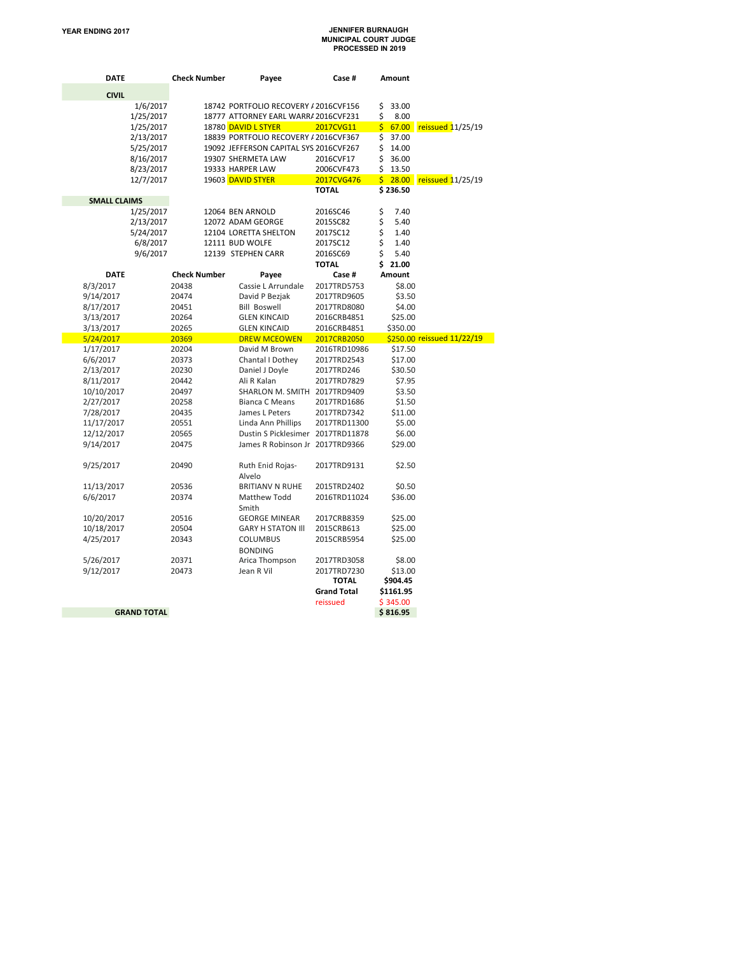# **YEAR ENDING 2017 JENNIFER BURNAUGH MUNICIPAL COURT JUDGE PROCESSED IN 2019**

| DATE                |                    | <b>Check Number</b> | Payee                                  | Case #             | Amount      |                                       |
|---------------------|--------------------|---------------------|----------------------------------------|--------------------|-------------|---------------------------------------|
| <b>CIVIL</b>        |                    |                     |                                        |                    |             |                                       |
|                     | 1/6/2017           |                     | 18742 PORTFOLIO RECOVERY / 2016CVF156  |                    | \$<br>33.00 |                                       |
|                     | 1/25/2017          |                     | 18777 ATTORNEY EARL WARR/ 2016CVF231   |                    | \$<br>8.00  |                                       |
|                     | 1/25/2017          |                     | 18780 DAVID L STYER                    | 2017CVG11          | \$          | 67.00 reissued 11/25/19               |
|                     | 2/13/2017          |                     | 18839 PORTFOLIO RECOVERY / 2016CVF367  |                    | \$<br>37.00 |                                       |
|                     | 5/25/2017          |                     | 19092 JEFFERSON CAPITAL SYS 2016CVF267 |                    | \$<br>14.00 |                                       |
|                     | 8/16/2017          |                     | 19307 SHERMETA LAW                     | 2016CVF17          | \$<br>36.00 |                                       |
|                     | 8/23/2017          |                     | 19333 HARPER LAW                       | 2006CVF473         | \$<br>13.50 |                                       |
|                     | 12/7/2017          |                     | 19603 DAVID STYER                      | 2017CVG476         |             | $\frac{1}{2}$ 28.00 reissued 11/25/19 |
|                     |                    |                     |                                        | <b>TOTAL</b>       | \$236.50    |                                       |
| <b>SMALL CLAIMS</b> |                    |                     |                                        |                    |             |                                       |
|                     | 1/25/2017          |                     | 12064 BEN ARNOLD                       | 2016SC46           | \$<br>7.40  |                                       |
|                     | 2/13/2017          |                     | 12072 ADAM GEORGE                      | 2015SC82           | \$<br>5.40  |                                       |
|                     | 5/24/2017          |                     | 12104 LORETTA SHELTON                  | 2017SC12           | \$<br>1.40  |                                       |
|                     | 6/8/2017           |                     | 12111 BUD WOLFE                        | 2017SC12           | \$<br>1.40  |                                       |
|                     | 9/6/2017           |                     | 12139 STEPHEN CARR                     | 2016SC69           | \$<br>5.40  |                                       |
|                     |                    |                     |                                        | <b>TOTAL</b>       | \$21.00     |                                       |
| <b>DATE</b>         |                    | <b>Check Number</b> | Payee                                  | Case #             | Amount      |                                       |
| 8/3/2017            |                    | 20438               | Cassie L Arrundale                     | 2017TRD5753        | \$8.00      |                                       |
| 9/14/2017           |                    | 20474               | David P Bezjak                         | 2017TRD9605        | \$3.50      |                                       |
| 8/17/2017           |                    | 20451               | <b>Bill Boswell</b>                    | 2017TRD8080        | \$4.00      |                                       |
| 3/13/2017           |                    | 20264               | <b>GLEN KINCAID</b>                    | 2016CRB4851        | \$25.00     |                                       |
| 3/13/2017           |                    | 20265               | <b>GLEN KINCAID</b>                    | 2016CRB4851        | \$350.00    |                                       |
| 5/24/2017           |                    | 20369               | <b>DREW MCEOWEN</b>                    | 2017CRB2050        |             | \$250.00 reissued 11/22/19            |
| 1/17/2017           |                    | 20204               | David M Brown                          | 2016TRD10986       | \$17.50     |                                       |
| 6/6/2017            |                    | 20373               | Chantal I Dothey                       | 2017TRD2543        | \$17.00     |                                       |
| 2/13/2017           |                    | 20230               | Daniel J Doyle                         | 2017TRD246         | \$30.50     |                                       |
| 8/11/2017           |                    | 20442               | Ali R Kalan                            | 2017TRD7829        | \$7.95      |                                       |
| 10/10/2017          |                    | 20497               | SHARLON M. SMITH 2017TRD9409           |                    | \$3.50      |                                       |
| 2/27/2017           |                    | 20258               | <b>Bianca C Means</b>                  | 2017TRD1686        | \$1.50      |                                       |
| 7/28/2017           |                    | 20435               | James L Peters                         | 2017TRD7342        | \$11.00     |                                       |
| 11/17/2017          |                    | 20551               | Linda Ann Phillips                     | 2017TRD11300       | \$5.00      |                                       |
| 12/12/2017          |                    | 20565               | Dustin S Picklesimer 2017TRD11878      |                    | \$6.00      |                                       |
| 9/14/2017           |                    | 20475               | James R Robinson Jr 2017TRD9366        |                    | \$29.00     |                                       |
| 9/25/2017           |                    | 20490               | Ruth Enid Rojas-<br>Alvelo             | 2017TRD9131        | \$2.50      |                                       |
| 11/13/2017          |                    | 20536               | <b>BRITIANV N RUHE</b>                 | 2015TRD2402        | \$0.50      |                                       |
| 6/6/2017            |                    | 20374               | Matthew Todd<br>Smith                  | 2016TRD11024       | \$36.00     |                                       |
| 10/20/2017          |                    | 20516               | <b>GEORGE MINEAR</b>                   | 2017CRB8359        | \$25.00     |                                       |
| 10/18/2017          |                    | 20504               | <b>GARY H STATON III</b>               | 2015CRB613         | \$25.00     |                                       |
| 4/25/2017           |                    | 20343               | <b>COLUMBUS</b><br><b>BONDING</b>      | 2015CRB5954        | \$25.00     |                                       |
| 5/26/2017           |                    | 20371               | Arica Thompson                         | 2017TRD3058        | \$8.00      |                                       |
| 9/12/2017           |                    | 20473               | Jean R Vil                             | 2017TRD7230        | \$13.00     |                                       |
|                     |                    |                     |                                        | TOTAL              | \$904.45    |                                       |
|                     |                    |                     |                                        | <b>Grand Total</b> | \$1161.95   |                                       |
|                     |                    |                     |                                        | reissued           | \$345.00    |                                       |
|                     | <b>GRAND TOTAL</b> |                     |                                        |                    | \$816.95    |                                       |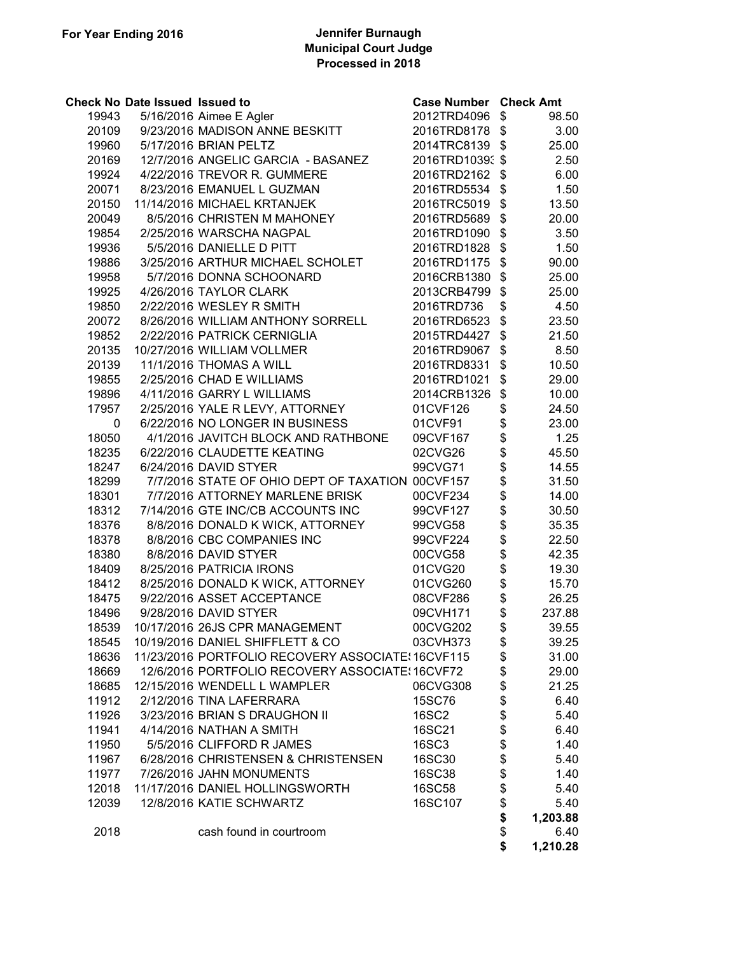### **For Year Ending 2016 Jennifer Burnaugh Municipal Court Judge Processed in 2018**

|       | <b>Check No Date Issued Issued to</b> |                                                   | <b>Case Number Check Amt</b> |                                  |          |
|-------|---------------------------------------|---------------------------------------------------|------------------------------|----------------------------------|----------|
| 19943 |                                       | 5/16/2016 Aimee E Agler                           | 2012TRD4096                  | \$                               | 98.50    |
| 20109 |                                       | 9/23/2016 MADISON ANNE BESKITT                    | 2016TRD8178                  | \$                               | 3.00     |
| 19960 |                                       | 5/17/2016 BRIAN PELTZ                             | 2014TRC8139                  | \$                               | 25.00    |
| 20169 |                                       | 12/7/2016 ANGELIC GARCIA - BASANEZ                | 2016TRD10393 \$              |                                  | 2.50     |
| 19924 |                                       | 4/22/2016 TREVOR R. GUMMERE                       | 2016TRD2162                  | \$                               | 6.00     |
| 20071 |                                       | 8/23/2016 EMANUEL L GUZMAN                        | 2016TRD5534                  | \$                               | 1.50     |
| 20150 |                                       | 11/14/2016 MICHAEL KRTANJEK                       | 2016TRC5019                  | \$                               | 13.50    |
| 20049 |                                       | 8/5/2016 CHRISTEN M MAHONEY                       | 2016TRD5689                  | \$                               | 20.00    |
| 19854 |                                       | 2/25/2016 WARSCHA NAGPAL                          | 2016TRD1090                  | \$                               | 3.50     |
| 19936 |                                       | 5/5/2016 DANIELLE D PITT                          | 2016TRD1828                  | \$                               | 1.50     |
| 19886 |                                       | 3/25/2016 ARTHUR MICHAEL SCHOLET                  | 2016TRD1175                  | \$                               | 90.00    |
| 19958 |                                       | 5/7/2016 DONNA SCHOONARD                          | 2016CRB1380                  | \$                               | 25.00    |
| 19925 |                                       | 4/26/2016 TAYLOR CLARK                            | 2013CRB4799                  | \$                               | 25.00    |
| 19850 |                                       | 2/22/2016 WESLEY R SMITH                          | 2016TRD736                   | \$                               | 4.50     |
| 20072 |                                       | 8/26/2016 WILLIAM ANTHONY SORRELL                 | 2016TRD6523                  | \$                               | 23.50    |
| 19852 |                                       | 2/22/2016 PATRICK CERNIGLIA                       | 2015TRD4427                  | \$                               | 21.50    |
| 20135 |                                       | 10/27/2016 WILLIAM VOLLMER                        | 2016TRD9067                  | \$                               | 8.50     |
| 20139 |                                       | 11/1/2016 THOMAS A WILL                           | 2016TRD8331                  | \$                               | 10.50    |
| 19855 |                                       | 2/25/2016 CHAD E WILLIAMS                         | 2016TRD1021                  | \$                               | 29.00    |
| 19896 |                                       | 4/11/2016 GARRY L WILLIAMS                        | 2014CRB1326                  | \$                               | 10.00    |
| 17957 |                                       | 2/25/2016 YALE R LEVY, ATTORNEY                   | 01CVF126                     | \$                               | 24.50    |
| 0     |                                       | 6/22/2016 NO LONGER IN BUSINESS                   | 01CVF91                      |                                  | 23.00    |
| 18050 |                                       | 4/1/2016 JAVITCH BLOCK AND RATHBONE               | 09CVF167                     |                                  | 1.25     |
| 18235 |                                       | 6/22/2016 CLAUDETTE KEATING                       | 02CVG26                      |                                  | 45.50    |
| 18247 |                                       | 6/24/2016 DAVID STYER                             | 99CVG71                      |                                  | 14.55    |
| 18299 |                                       | 7/7/2016 STATE OF OHIO DEPT OF TAXATION 00CVF157  |                              | \$\$\$\$\$\$\$\$\$\$\$\$\$\$\$\$ | 31.50    |
| 18301 |                                       | 7/7/2016 ATTORNEY MARLENE BRISK                   | 00CVF234                     |                                  | 14.00    |
| 18312 |                                       | 7/14/2016 GTE INC/CB ACCOUNTS INC                 | 99CVF127                     |                                  | 30.50    |
| 18376 |                                       | 8/8/2016 DONALD K WICK, ATTORNEY                  | 99CVG58                      |                                  | 35.35    |
| 18378 |                                       | 8/8/2016 CBC COMPANIES INC                        | 99CVF224                     |                                  | 22.50    |
| 18380 |                                       | 8/8/2016 DAVID STYER                              | 00CVG58                      |                                  | 42.35    |
| 18409 |                                       | 8/25/2016 PATRICIA IRONS                          | 01CVG20                      |                                  | 19.30    |
| 18412 |                                       | 8/25/2016 DONALD K WICK, ATTORNEY                 | 01CVG260                     |                                  | 15.70    |
| 18475 |                                       | 9/22/2016 ASSET ACCEPTANCE                        | 08CVF286                     |                                  | 26.25    |
| 18496 |                                       | 9/28/2016 DAVID STYER                             | 09CVH171                     | \$                               | 237.88   |
| 18539 |                                       | 10/17/2016 26JS CPR MANAGEMENT                    | 00CVG202                     | \$                               | 39.55    |
| 18545 |                                       | 10/19/2016 DANIEL SHIFFLETT & CO                  | 03CVH373                     | \$                               | 39.25    |
| 18636 |                                       | 11/23/2016 PORTFOLIO RECOVERY ASSOCIATE: 16CVF115 |                              | \$                               | 31.00    |
| 18669 |                                       | 12/6/2016 PORTFOLIO RECOVERY ASSOCIATE: 16CVF72   |                              | \$                               | 29.00    |
| 18685 |                                       | 12/15/2016 WENDELL L WAMPLER                      | 06CVG308                     | \$                               | 21.25    |
| 11912 |                                       | 2/12/2016 TINA LAFERRARA                          | 15SC76                       | \$                               | 6.40     |
| 11926 |                                       | 3/23/2016 BRIAN S DRAUGHON II                     | <b>16SC2</b>                 | \$                               | 5.40     |
| 11941 |                                       | 4/14/2016 NATHAN A SMITH                          | 16SC21                       | \$                               | 6.40     |
| 11950 |                                       | 5/5/2016 CLIFFORD R JAMES                         | 16SC3                        | \$                               | 1.40     |
| 11967 |                                       | 6/28/2016 CHRISTENSEN & CHRISTENSEN               | 16SC30                       | \$                               | 5.40     |
| 11977 |                                       | 7/26/2016 JAHN MONUMENTS                          | <b>16SC38</b>                | \$                               | 1.40     |
| 12018 |                                       | 11/17/2016 DANIEL HOLLINGSWORTH                   | <b>16SC58</b>                | \$                               | 5.40     |
| 12039 |                                       | 12/8/2016 KATIE SCHWARTZ                          | 16SC107                      | \$                               | 5.40     |
|       |                                       |                                                   |                              | \$                               | 1,203.88 |
| 2018  |                                       | cash found in courtroom                           |                              | \$                               | 6.40     |
|       |                                       |                                                   |                              | \$                               | 1,210.28 |
|       |                                       |                                                   |                              |                                  |          |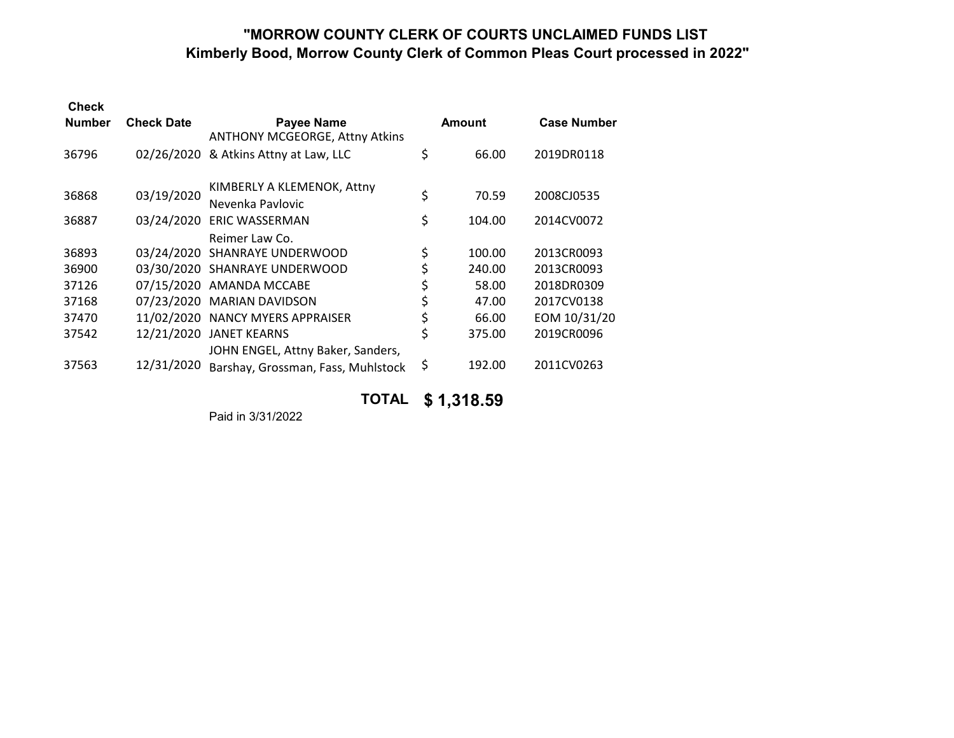### **"MORROW COUNTY CLERK OF COURTS UNCLAIMED FUNDS LIST Kimberly Bood, Morrow County Clerk of Common Pleas Court processed in 2022"**

| <b>Check</b>  |                   |                                                            |               |                    |
|---------------|-------------------|------------------------------------------------------------|---------------|--------------------|
| <b>Number</b> | <b>Check Date</b> | <b>Payee Name</b><br><b>ANTHONY MCGEORGE, Attny Atkins</b> | <b>Amount</b> | <b>Case Number</b> |
| 36796         | 02/26/2020        | & Atkins Attny at Law, LLC                                 | \$<br>66.00   | 2019DR0118         |
| 36868         | 03/19/2020        | KIMBERLY A KLEMENOK, Attny<br>Nevenka Pavlovic             | \$<br>70.59   | 2008CJ0535         |
| 36887         | 03/24/2020        | <b>ERIC WASSERMAN</b><br>Reimer Law Co.                    | \$<br>104.00  | 2014CV0072         |
| 36893         |                   | 03/24/2020 SHANRAYE UNDERWOOD                              | \$<br>100.00  | 2013CR0093         |
| 36900         |                   | 03/30/2020 SHANRAYE UNDERWOOD                              | \$<br>240.00  | 2013CR0093         |
| 37126         |                   | 07/15/2020 AMANDA MCCABE                                   | \$<br>58.00   | 2018DR0309         |
| 37168         | 07/23/2020        | <b>MARIAN DAVIDSON</b>                                     | \$<br>47.00   | 2017CV0138         |
| 37470         | 11/02/2020        | <b>NANCY MYERS APPRAISER</b>                               | \$<br>66.00   | EOM 10/31/20       |
| 37542         | 12/21/2020        | <b>JANET KEARNS</b><br>JOHN ENGEL, Attny Baker, Sanders,   | \$<br>375.00  | 2019CR0096         |
| 37563         | 12/31/2020        | Barshay, Grossman, Fass, Muhlstock                         | \$<br>192.00  | 2011CV0263         |
|               |                   |                                                            |               |                    |

**TOTAL \$ 1,318.59**

Paid in 3/31/2022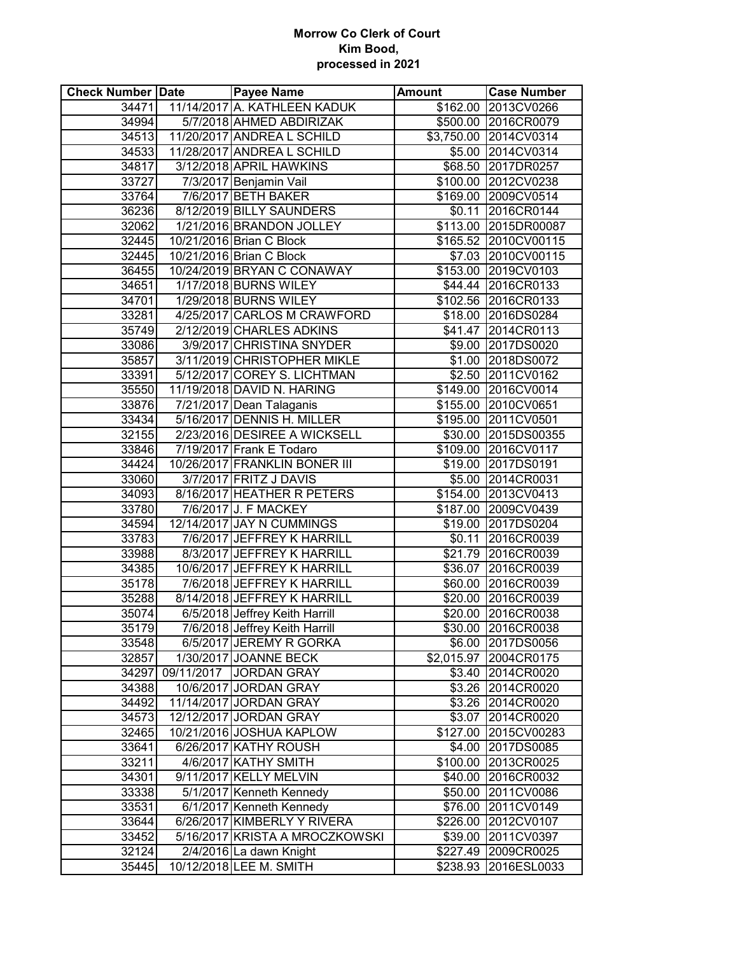### **Morrow Co Clerk of Court Kim Bood, processed in 2021**

| <b>Check Number Date</b> | <b>Payee Name</b>                | <b>Amount</b> | <b>Case Number</b>    |
|--------------------------|----------------------------------|---------------|-----------------------|
| 34471                    | 11/14/2017 A. KATHLEEN KADUK     |               | \$162.00 2013CV0266   |
| 34994                    | 5/7/2018 AHMED ABDIRIZAK         |               | \$500.00 2016CR0079   |
|                          | 34513 11/20/2017 ANDREA L SCHILD |               | \$3,750.00 2014CV0314 |
|                          | 34533 11/28/2017 ANDREA L SCHILD |               | \$5.00 2014CV0314     |
| 34817                    | 3/12/2018 APRIL HAWKINS          |               | \$68.50 2017DR0257    |
| 33727                    | 7/3/2017 Benjamin Vail           |               | \$100.00 2012CV0238   |
| 33764                    | 7/6/2017 BETH BAKER              |               | \$169.00 2009CV0514   |
| 36236                    | 8/12/2019 BILLY SAUNDERS         |               | \$0.11 2016CR0144     |
| 32062                    | 1/21/2016 BRANDON JOLLEY         |               | \$113.00 2015DR00087  |
| 32445                    | 10/21/2016 Brian C Block         |               | \$165.52 2010CV00115  |
| 32445                    | 10/21/2016 Brian C Block         |               | \$7.03 2010CV00115    |
| 36455                    | 10/24/2019 BRYAN C CONAWAY       |               | \$153.00 2019CV0103   |
| 34651                    | 1/17/2018 BURNS WILEY            |               | \$44.44 2016CR0133    |
| 34701                    | 1/29/2018 BURNS WILEY            |               | \$102.56 2016CR0133   |
| 33281                    | 4/25/2017 CARLOS M CRAWFORD      |               | \$18.00 2016DS0284    |
| 35749                    | 2/12/2019 CHARLES ADKINS         |               | \$41.47 2014CR0113    |
| 33086                    | 3/9/2017 CHRISTINA SNYDER        |               | \$9.00 2017DS0020     |
| 35857                    | 3/11/2019 CHRISTOPHER MIKLE      |               | \$1.00 2018DS0072     |
| 33391                    | 5/12/2017 COREY S. LICHTMAN      |               | \$2.50 2011CV0162     |
| 35550                    | 11/19/2018 DAVID N. HARING       |               | \$149.00 2016CV0014   |
| 33876                    | 7/21/2017 Dean Talaganis         |               | \$155.00 2010CV0651   |
| 33434                    | 5/16/2017 DENNIS H. MILLER       |               | \$195.00 2011CV0501   |
| 32155                    | 2/23/2016 DESIREE A WICKSELL     |               | \$30.00 2015DS00355   |
| 33846                    | 7/19/2017 Frank E Todaro         |               | \$109.00 2016CV0117   |
| 34424                    | 10/26/2017 FRANKLIN BONER III    |               | \$19.00 2017DS0191    |
| 33060                    | 3/7/2017 FRITZ J DAVIS           |               | \$5.00 2014CR0031     |
| 34093                    | 8/16/2017 HEATHER R PETERS       |               | \$154.00 2013CV0413   |
| 33780                    | 7/6/2017 J. F MACKEY             |               | \$187.00 2009CV0439   |
| 34594                    | 12/14/2017 JAY N CUMMINGS        |               | \$19.00 2017DS0204    |
| 33783                    | 7/6/2017 JEFFREY K HARRILL       |               | \$0.11 2016CR0039     |
| 33988                    | 8/3/2017 JEFFREY K HARRILL       |               | \$21.79 2016CR0039    |
| 34385                    | 10/6/2017 JEFFREY K HARRILL      | \$36.07       | 2016CR0039            |
| 35178                    | 7/6/2018 JEFFREY K HARRILL       |               | \$60.00 2016CR0039    |
| 35288                    | 8/14/2018 JEFFREY K HARRILL      |               | \$20.00 2016CR0039    |
| 35074                    | 6/5/2018 Jeffrey Keith Harrill   |               | \$20.00 2016CR0038    |
| 35179                    | 7/6/2018 Jeffrey Keith Harrill   | \$30.00       | 2016CR0038            |
| 33548                    | 6/5/2017 JEREMY R GORKA          | \$6.00        | 2017DS0056            |
| 32857                    | 1/30/2017 JOANNE BECK            |               | \$2,015.97 2004CR0175 |
| 34297                    | 09/11/2017 JORDAN GRAY           | \$3.40        | 2014CR0020            |
| 34388                    | 10/6/2017 JORDAN GRAY            | \$3.26        | 2014CR0020            |
| 34492                    | 11/14/2017 JORDAN GRAY           | \$3.26        | 2014CR0020            |
| 34573                    | 12/12/2017 JORDAN GRAY           | \$3.07        | 2014CR0020            |
| 32465                    | 10/21/2016 JOSHUA KAPLOW         | \$127.00      | 2015CV00283           |
| 33641                    | 6/26/2017 KATHY ROUSH            | \$4.00        | 2017DS0085            |
| 33211                    | 4/6/2017 KATHY SMITH             |               | \$100.00 2013CR0025   |
| 34301                    | 9/11/2017 KELLY MELVIN           |               | \$40.00 2016CR0032    |
| 33338                    | 5/1/2017 Kenneth Kennedy         |               | \$50.00 2011CV0086    |
| 33531                    | 6/1/2017 Kenneth Kennedy         | \$76.00       | 2011CV0149            |
| 33644                    | 6/26/2017 KIMBERLY Y RIVERA      | \$226.00      | 2012CV0107            |
| 33452                    | 5/16/2017 KRISTA A MROCZKOWSKI   | \$39.00       | 2011CV0397            |
| 32124                    | 2/4/2016 La dawn Knight          | \$227.49      | 2009CR0025            |
| 35445                    | 10/12/2018 LEE M. SMITH          | \$238.93      | 2016ESL0033           |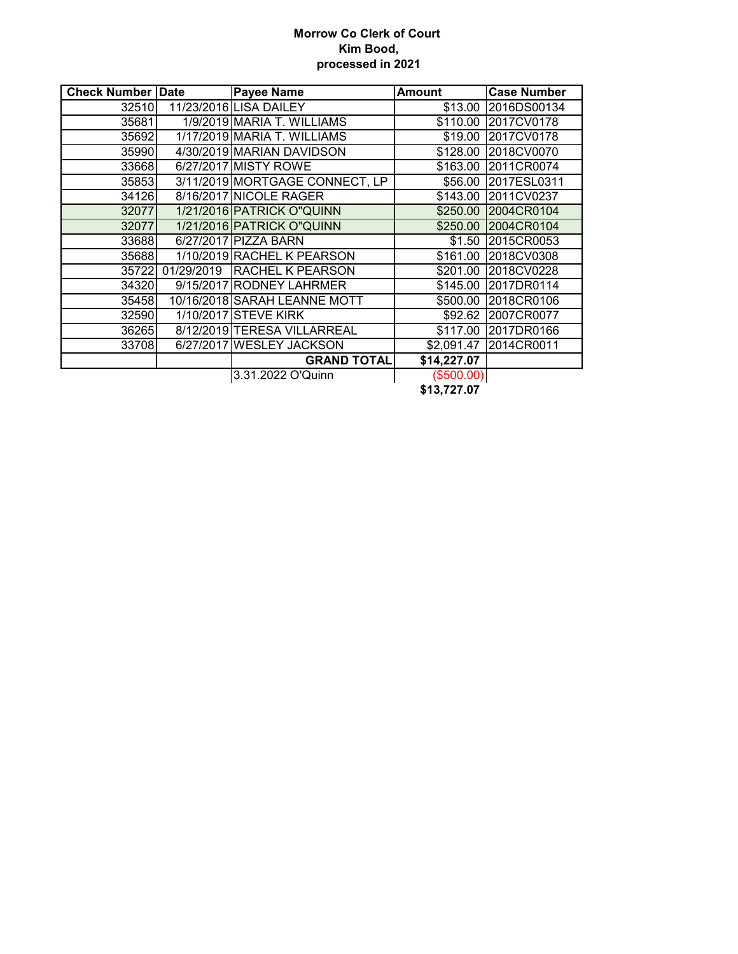### **Morrow Co Clerk of Court Kim Bood, processed in 2021**

| <b>Check Number Date</b> |            | <b>Payee Name</b>              | <b>Amount</b>    | <b>Case Number</b> |
|--------------------------|------------|--------------------------------|------------------|--------------------|
| 32510                    |            | 11/23/2016 LISA DAILEY         | \$13.00          | 2016DS00134        |
| 35681                    |            | 1/9/2019 MARIA T. WILLIAMS     | \$110.00         | 2017CV0178         |
| 35692                    |            | 1/17/2019 MARIA T. WILLIAMS    | \$19.00          | 2017CV0178         |
| 35990                    |            | 4/30/2019 MARIAN DAVIDSON      | \$128.00         | 2018CV0070         |
| 33668                    |            | 6/27/2017 MISTY ROWE           | \$163.00         | 2011CR0074         |
| 35853                    |            | 3/11/2019 MORTGAGE CONNECT, LP | \$56.00          | 2017ESL0311        |
| 34126                    |            | 8/16/2017 NICOLE RAGER         | \$143.00         | 2011CV0237         |
| 32077                    |            | 1/21/2016 PATRICK O"QUINN      | \$250.00         | 2004CR0104         |
| 32077                    |            | 1/21/2016 PATRICK O"QUINN      | \$250.00         | 2004CR0104         |
| 33688                    |            | 6/27/2017 PIZZA BARN           | \$1.50           | 2015CR0053         |
| 35688                    |            | 1/10/2019 RACHEL K PEARSON     | $\sqrt{$161.00}$ | 2018CV0308         |
| 35722                    | 01/29/2019 | <b>RACHEL K PEARSON</b>        | \$201.00         | 2018CV0228         |
| 34320                    |            | 9/15/2017 RODNEY LAHRMER       | \$145.00         | 2017DR0114         |
| 35458                    |            | 10/16/2018 SARAH LEANNE MOTT   | \$500.00         | 2018CR0106         |
| 32590                    |            | 1/10/2017 STEVE KIRK           | \$92.62          | 2007CR0077         |
| 36265                    |            | 8/12/2019 TERESA VILLARREAL    | \$117.00         | 2017DR0166         |
| 33708                    |            | 6/27/2017 WESLEY JACKSON       | \$2,091.47       | 2014CR0011         |
|                          |            | <b>GRAND TOTAL</b>             | \$14,227.07      |                    |
|                          |            | 3.31.2022 O'Quinn              | (\$500.00)       |                    |

**\$13,727.07**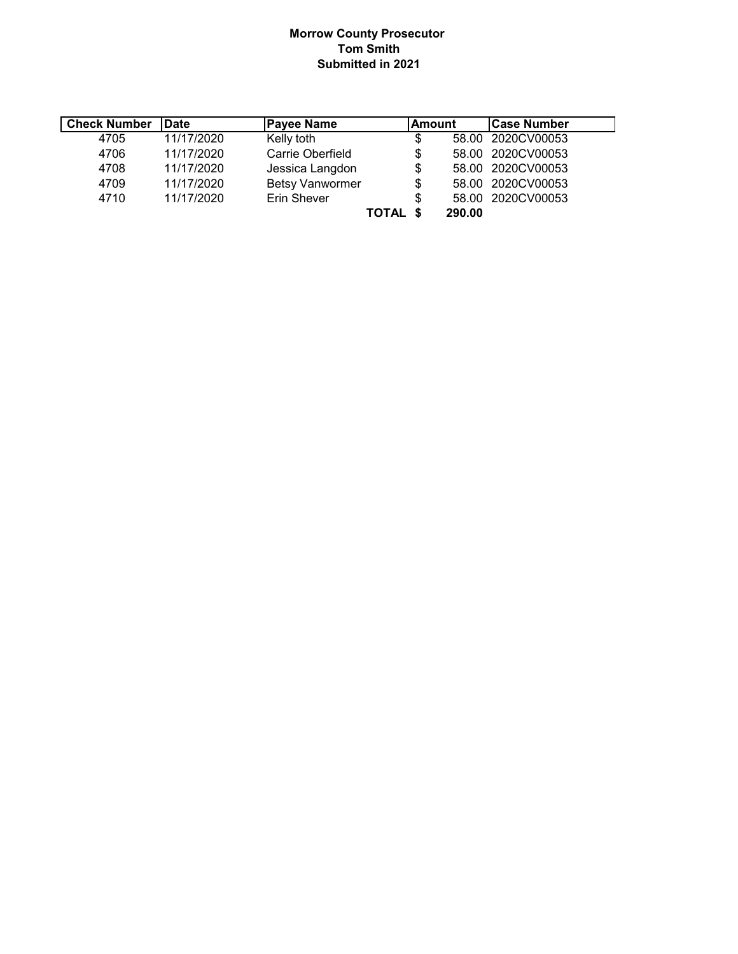### **Morrow County Prosecutor Tom Smith Submitted in 2021**

| <b>Check Number</b> | <b>IDate</b> | <b>Payee Name</b>      | lAmount | <b>Case Number</b> |
|---------------------|--------------|------------------------|---------|--------------------|
| 4705                | 11/17/2020   | Kelly toth             | \$      | 58.00 2020CV00053  |
| 4706                | 11/17/2020   | Carrie Oberfield       | \$      | 58.00 2020CV00053  |
| 4708                | 11/17/2020   | Jessica Langdon        | \$      | 58.00 2020CV00053  |
| 4709                | 11/17/2020   | <b>Betsy Vanwormer</b> | \$      | 58.00 2020CV00053  |
| 4710                | 11/17/2020   | Erin Shever            | \$      | 58.00 2020CV00053  |
|                     |              | TOTAL                  | 290.00  |                    |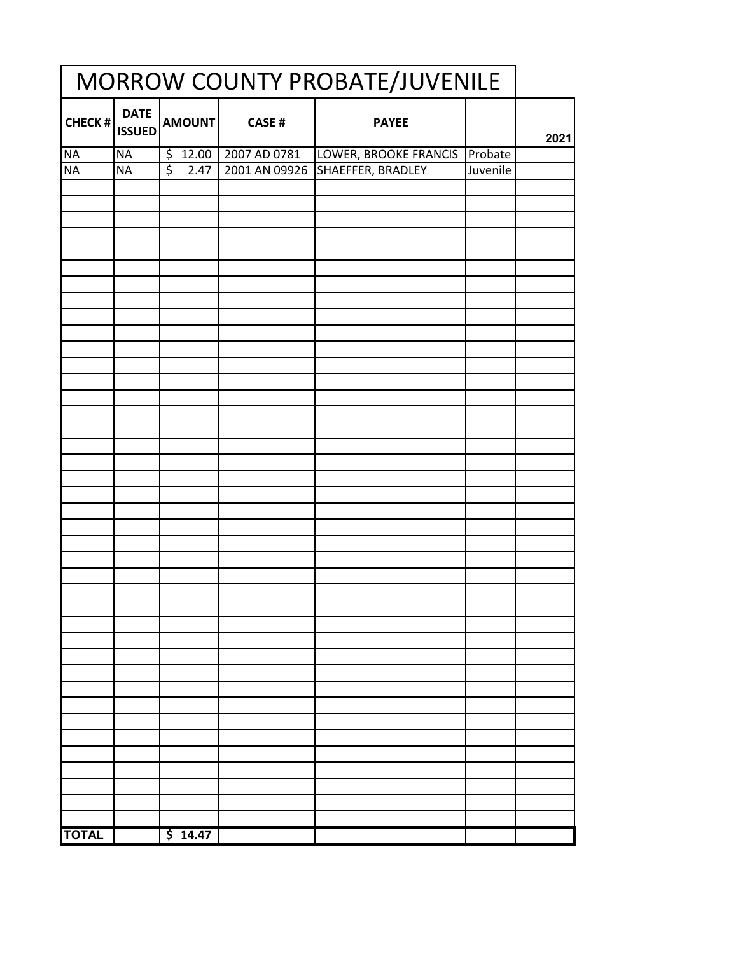| MORROW COUNTY PROBATE/JUVENILE |                              |                          |                       |                       |          |      |
|--------------------------------|------------------------------|--------------------------|-----------------------|-----------------------|----------|------|
| CHECK #                        | <b>DATE</b><br><b>ISSUED</b> | AMOUNT                   | <b>CASE#</b>          | <b>PAYEE</b>          |          | 2021 |
| <b>NA</b>                      | <b>NA</b>                    |                          | $$12.00$ 2007 AD 0781 | LOWER, BROOKE FRANCIS | Probate  |      |
| <b>NA</b>                      | <b>NA</b>                    | $\overline{\xi}$<br>2.47 | 2001 AN 09926         | SHAEFFER, BRADLEY     | Juvenile |      |
|                                |                              |                          |                       |                       |          |      |
|                                |                              |                          |                       |                       |          |      |
|                                |                              |                          |                       |                       |          |      |
|                                |                              |                          |                       |                       |          |      |
|                                |                              |                          |                       |                       |          |      |
|                                |                              |                          |                       |                       |          |      |
|                                |                              |                          |                       |                       |          |      |
|                                |                              |                          |                       |                       |          |      |
|                                |                              |                          |                       |                       |          |      |
|                                |                              |                          |                       |                       |          |      |
|                                |                              |                          |                       |                       |          |      |
|                                |                              |                          |                       |                       |          |      |
|                                |                              |                          |                       |                       |          |      |
|                                |                              |                          |                       |                       |          |      |
|                                |                              |                          |                       |                       |          |      |
|                                |                              |                          |                       |                       |          |      |
|                                |                              |                          |                       |                       |          |      |
|                                |                              |                          |                       |                       |          |      |
|                                |                              |                          |                       |                       |          |      |
|                                |                              |                          |                       |                       |          |      |
|                                |                              |                          |                       |                       |          |      |
|                                |                              |                          |                       |                       |          |      |
|                                |                              |                          |                       |                       |          |      |
|                                |                              |                          |                       |                       |          |      |
|                                |                              |                          |                       |                       |          |      |
|                                |                              |                          |                       |                       |          |      |
|                                |                              |                          |                       |                       |          |      |
|                                |                              |                          |                       |                       |          |      |
|                                |                              |                          |                       |                       |          |      |
|                                |                              |                          |                       |                       |          |      |
|                                |                              |                          |                       |                       |          |      |
|                                |                              |                          |                       |                       |          |      |
|                                |                              |                          |                       |                       |          |      |
|                                |                              |                          |                       |                       |          |      |
|                                |                              |                          |                       |                       |          |      |
|                                |                              |                          |                       |                       |          |      |
|                                |                              |                          |                       |                       |          |      |
|                                |                              |                          |                       |                       |          |      |
|                                |                              |                          |                       |                       |          |      |
| <b>TOTAL</b>                   |                              | \$14.47                  |                       |                       |          |      |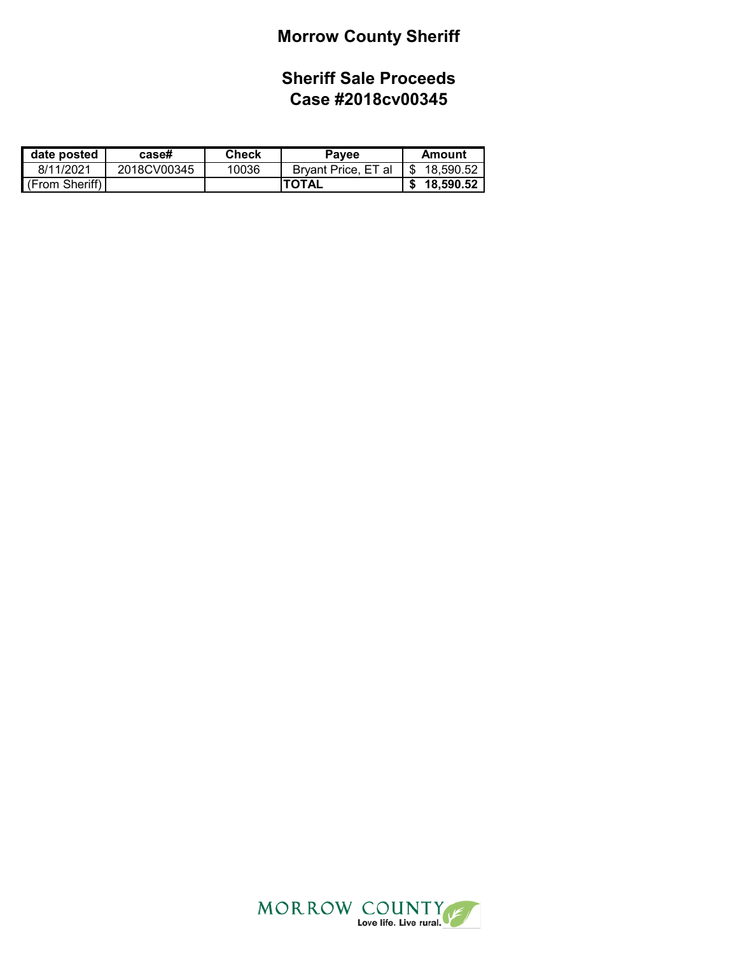# **Morrow County Sheriff**

## **Sheriff Sale Proceeds Case #2018cv00345**

| date posted            | case#       | Check | <b>Payee</b>        | Amount      |
|------------------------|-------------|-------|---------------------|-------------|
| 8/11/2021              | 2018CV00345 | 10036 | Brvant Price, ET al | \$18.590.52 |
| $\vert$ (From Sheriff) |             |       | <b>TOTAL</b>        | \$18,590.52 |